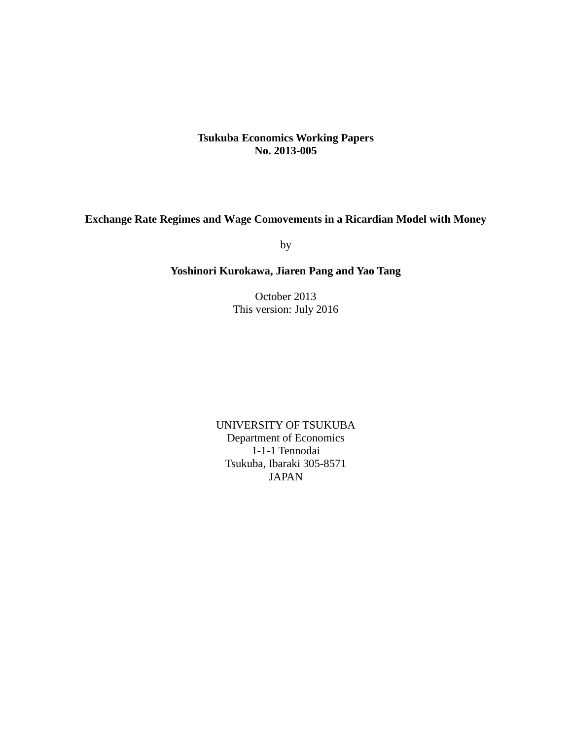## **Tsukuba Economics Working Papers No. 2013-005**

## **Exchange Rate Regimes and Wage Comovements in a Ricardian Model with Money**

by

**Yoshinori Kurokawa, Jiaren Pang and Yao Tang**

October 2013 This version: July 2016

UNIVERSITY OF TSUKUBA Department of Economics 1-1-1 Tennodai Tsukuba, Ibaraki 305-8571 JAPAN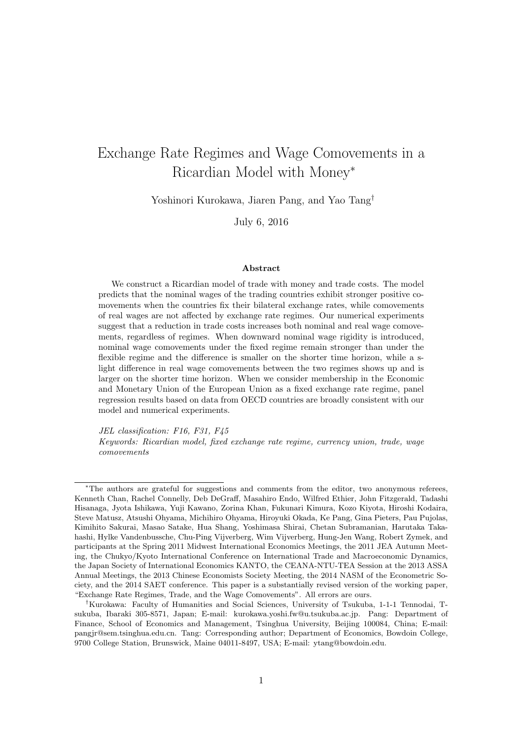# Exchange Rate Regimes and Wage Comovements in a Ricardian Model with Money*<sup>∗</sup>*

Yoshinori Kurokawa, Jiaren Pang, and Yao Tang*†*

July 6, 2016

#### **Abstract**

We construct a Ricardian model of trade with money and trade costs. The model predicts that the nominal wages of the trading countries exhibit stronger positive comovements when the countries fix their bilateral exchange rates, while comovements of real wages are not affected by exchange rate regimes. Our numerical experiments suggest that a reduction in trade costs increases both nominal and real wage comovements, regardless of regimes. When downward nominal wage rigidity is introduced, nominal wage comovements under the fixed regime remain stronger than under the flexible regime and the difference is smaller on the shorter time horizon, while a slight difference in real wage comovements between the two regimes shows up and is larger on the shorter time horizon. When we consider membership in the Economic and Monetary Union of the European Union as a fixed exchange rate regime, panel regression results based on data from OECD countries are broadly consistent with our model and numerical experiments.

*JEL classification: F16, F31, F45*

*Keywords: Ricardian model, fixed exchange rate regime, currency union, trade, wage comovements*

*<sup>∗</sup>*The authors are grateful for suggestions and comments from the editor, two anonymous referees, Kenneth Chan, Rachel Connelly, Deb DeGraff, Masahiro Endo, Wilfred Ethier, John Fitzgerald, Tadashi Hisanaga, Jyota Ishikawa, Yuji Kawano, Zorina Khan, Fukunari Kimura, Kozo Kiyota, Hiroshi Kodaira, Steve Matusz, Atsushi Ohyama, Michihiro Ohyama, Hiroyuki Okada, Ke Pang, Gina Pieters, Pau Pujolas, Kimihito Sakurai, Masao Satake, Hua Shang, Yoshimasa Shirai, Chetan Subramanian, Harutaka Takahashi, Hylke Vandenbussche, Chu-Ping Vijverberg, Wim Vijverberg, Hung-Jen Wang, Robert Zymek, and participants at the Spring 2011 Midwest International Economics Meetings, the 2011 JEA Autumn Meeting, the Chukyo/Kyoto International Conference on International Trade and Macroeconomic Dynamics, the Japan Society of International Economics KANTO, the CEANA-NTU-TEA Session at the 2013 ASSA Annual Meetings, the 2013 Chinese Economists Society Meeting, the 2014 NASM of the Econometric Society, and the 2014 SAET conference. This paper is a substantially revised version of the working paper, "Exchange Rate Regimes, Trade, and the Wage Comovements". All errors are ours.

*<sup>†</sup>*Kurokawa: Faculty of Humanities and Social Sciences, University of Tsukuba, 1-1-1 Tennodai, Tsukuba, Ibaraki 305-8571, Japan; E-mail: kurokawa.yoshi.fw@u.tsukuba.ac.jp. Pang: Department of Finance, School of Economics and Management, Tsinghua University, Beijing 100084, China; E-mail: pangjr@sem.tsinghua.edu.cn. Tang: Corresponding author; Department of Economics, Bowdoin College, 9700 College Station, Brunswick, Maine 04011-8497, USA; E-mail: ytang@bowdoin.edu.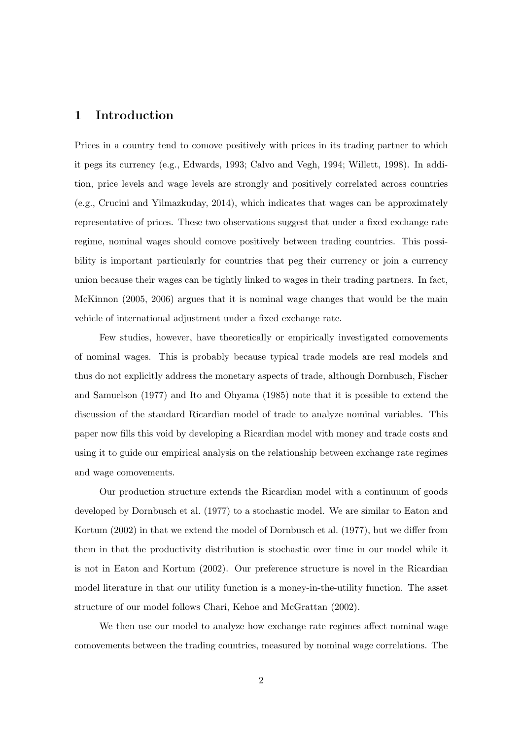### **1 Introduction**

Prices in a country tend to comove positively with prices in its trading partner to which it pegs its currency (e.g., Edwards, 1993; Calvo and Vegh, 1994; Willett, 1998). In addition, price levels and wage levels are strongly and positively correlated across countries (e.g., Crucini and Yilmazkuday, 2014), which indicates that wages can be approximately representative of prices. These two observations suggest that under a fixed exchange rate regime, nominal wages should comove positively between trading countries. This possibility is important particularly for countries that peg their currency or join a currency union because their wages can be tightly linked to wages in their trading partners. In fact, McKinnon (2005, 2006) argues that it is nominal wage changes that would be the main vehicle of international adjustment under a fixed exchange rate.

Few studies, however, have theoretically or empirically investigated comovements of nominal wages. This is probably because typical trade models are real models and thus do not explicitly address the monetary aspects of trade, although Dornbusch, Fischer and Samuelson (1977) and Ito and Ohyama (1985) note that it is possible to extend the discussion of the standard Ricardian model of trade to analyze nominal variables. This paper now fills this void by developing a Ricardian model with money and trade costs and using it to guide our empirical analysis on the relationship between exchange rate regimes and wage comovements.

Our production structure extends the Ricardian model with a continuum of goods developed by Dornbusch et al. (1977) to a stochastic model. We are similar to Eaton and Kortum (2002) in that we extend the model of Dornbusch et al. (1977), but we differ from them in that the productivity distribution is stochastic over time in our model while it is not in Eaton and Kortum (2002). Our preference structure is novel in the Ricardian model literature in that our utility function is a money-in-the-utility function. The asset structure of our model follows Chari, Kehoe and McGrattan (2002).

We then use our model to analyze how exchange rate regimes affect nominal wage comovements between the trading countries, measured by nominal wage correlations. The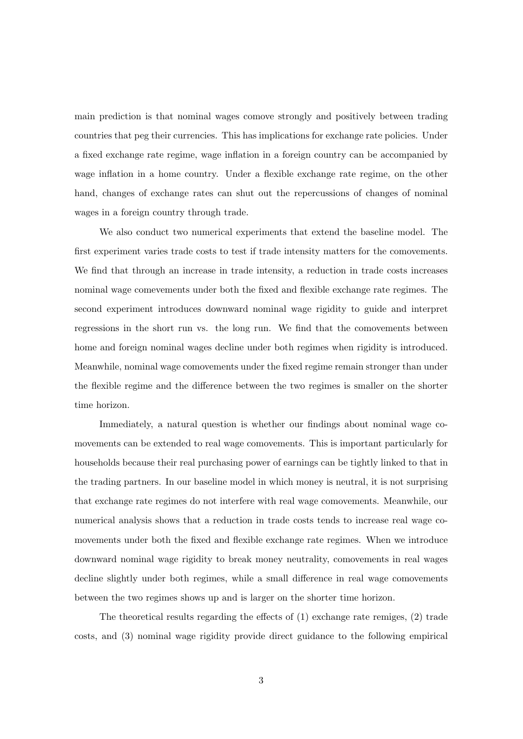main prediction is that nominal wages comove strongly and positively between trading countries that peg their currencies. This has implications for exchange rate policies. Under a fixed exchange rate regime, wage inflation in a foreign country can be accompanied by wage inflation in a home country. Under a flexible exchange rate regime, on the other hand, changes of exchange rates can shut out the repercussions of changes of nominal wages in a foreign country through trade.

We also conduct two numerical experiments that extend the baseline model. The first experiment varies trade costs to test if trade intensity matters for the comovements. We find that through an increase in trade intensity, a reduction in trade costs increases nominal wage comevements under both the fixed and flexible exchange rate regimes. The second experiment introduces downward nominal wage rigidity to guide and interpret regressions in the short run vs. the long run. We find that the comovements between home and foreign nominal wages decline under both regimes when rigidity is introduced. Meanwhile, nominal wage comovements under the fixed regime remain stronger than under the flexible regime and the difference between the two regimes is smaller on the shorter time horizon.

Immediately, a natural question is whether our findings about nominal wage comovements can be extended to real wage comovements. This is important particularly for households because their real purchasing power of earnings can be tightly linked to that in the trading partners. In our baseline model in which money is neutral, it is not surprising that exchange rate regimes do not interfere with real wage comovements. Meanwhile, our numerical analysis shows that a reduction in trade costs tends to increase real wage comovements under both the fixed and flexible exchange rate regimes. When we introduce downward nominal wage rigidity to break money neutrality, comovements in real wages decline slightly under both regimes, while a small difference in real wage comovements between the two regimes shows up and is larger on the shorter time horizon.

The theoretical results regarding the effects of (1) exchange rate remiges, (2) trade costs, and (3) nominal wage rigidity provide direct guidance to the following empirical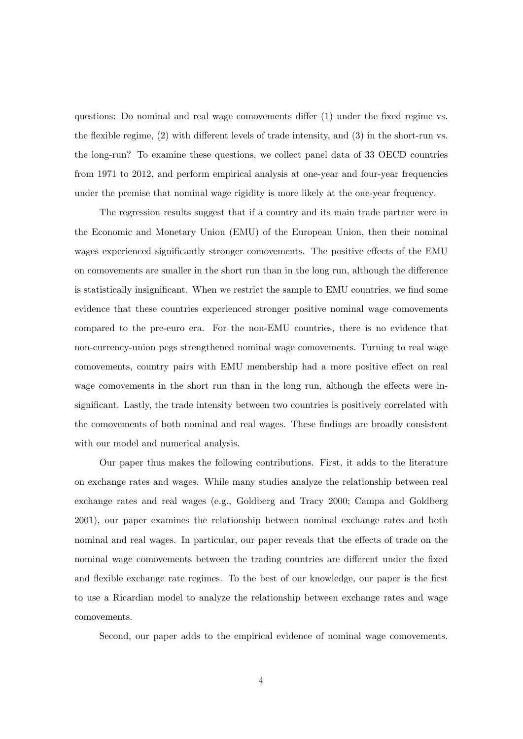questions: Do nominal and real wage comovements differ (1) under the fixed regime vs. the flexible regime, (2) with different levels of trade intensity, and (3) in the short-run vs. the long-run? To examine these questions, we collect panel data of 33 OECD countries from 1971 to 2012, and perform empirical analysis at one-year and four-year frequencies under the premise that nominal wage rigidity is more likely at the one-year frequency.

The regression results suggest that if a country and its main trade partner were in the Economic and Monetary Union (EMU) of the European Union, then their nominal wages experienced significantly stronger comovements. The positive effects of the EMU on comovements are smaller in the short run than in the long run, although the difference is statistically insignificant. When we restrict the sample to EMU countries, we find some evidence that these countries experienced stronger positive nominal wage comovements compared to the pre-euro era. For the non-EMU countries, there is no evidence that non-currency-union pegs strengthened nominal wage comovements. Turning to real wage comovements, country pairs with EMU membership had a more positive effect on real wage comovements in the short run than in the long run, although the effects were insignificant. Lastly, the trade intensity between two countries is positively correlated with the comovements of both nominal and real wages. These findings are broadly consistent with our model and numerical analysis.

Our paper thus makes the following contributions. First, it adds to the literature on exchange rates and wages. While many studies analyze the relationship between real exchange rates and real wages (e.g., Goldberg and Tracy 2000; Campa and Goldberg 2001), our paper examines the relationship between nominal exchange rates and both nominal and real wages. In particular, our paper reveals that the effects of trade on the nominal wage comovements between the trading countries are different under the fixed and flexible exchange rate regimes. To the best of our knowledge, our paper is the first to use a Ricardian model to analyze the relationship between exchange rates and wage comovements.

Second, our paper adds to the empirical evidence of nominal wage comovements.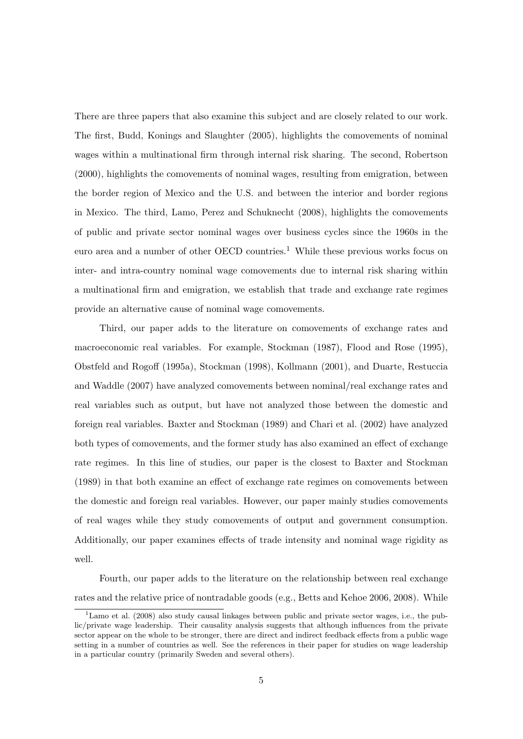There are three papers that also examine this subject and are closely related to our work. The first, Budd, Konings and Slaughter (2005), highlights the comovements of nominal wages within a multinational firm through internal risk sharing. The second, Robertson (2000), highlights the comovements of nominal wages, resulting from emigration, between the border region of Mexico and the U.S. and between the interior and border regions in Mexico. The third, Lamo, Perez and Schuknecht (2008), highlights the comovements of public and private sector nominal wages over business cycles since the 1960s in the euro area and a number of other OECD countries.<sup>1</sup> While these previous works focus on inter- and intra-country nominal wage comovements due to internal risk sharing within a multinational firm and emigration, we establish that trade and exchange rate regimes provide an alternative cause of nominal wage comovements.

Third, our paper adds to the literature on comovements of exchange rates and macroeconomic real variables. For example, Stockman (1987), Flood and Rose (1995), Obstfeld and Rogoff (1995a), Stockman (1998), Kollmann (2001), and Duarte, Restuccia and Waddle (2007) have analyzed comovements between nominal/real exchange rates and real variables such as output, but have not analyzed those between the domestic and foreign real variables. Baxter and Stockman (1989) and Chari et al. (2002) have analyzed both types of comovements, and the former study has also examined an effect of exchange rate regimes. In this line of studies, our paper is the closest to Baxter and Stockman (1989) in that both examine an effect of exchange rate regimes on comovements between the domestic and foreign real variables. However, our paper mainly studies comovements of real wages while they study comovements of output and government consumption. Additionally, our paper examines effects of trade intensity and nominal wage rigidity as well.

Fourth, our paper adds to the literature on the relationship between real exchange rates and the relative price of nontradable goods (e.g., Betts and Kehoe 2006, 2008). While

 $1$ Lamo et al. (2008) also study causal linkages between public and private sector wages, i.e., the public/private wage leadership. Their causality analysis suggests that although influences from the private sector appear on the whole to be stronger, there are direct and indirect feedback effects from a public wage setting in a number of countries as well. See the references in their paper for studies on wage leadership in a particular country (primarily Sweden and several others).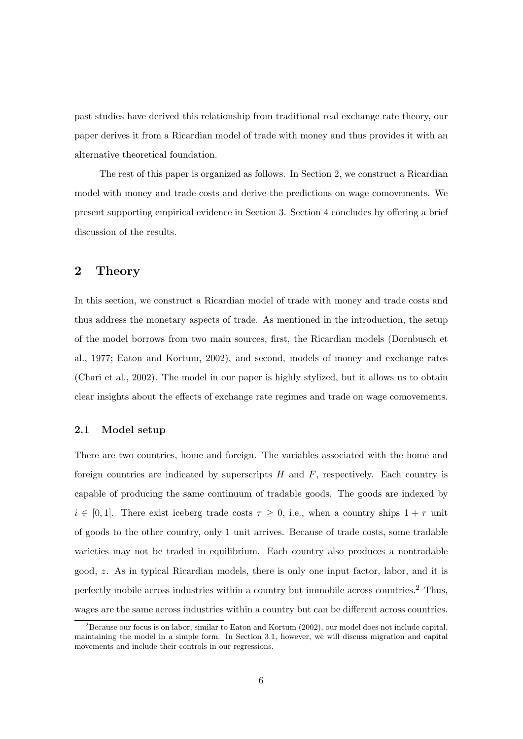past studies have derived this relationship from traditional real exchange rate theory, our paper derives it from a Ricardian model of trade with money and thus provides it with an alternative theoretical foundation.

The rest of this paper is organized as follows. In Section 2, we construct a Ricardian model with money and trade costs and derive the predictions on wage comovements. We present supporting empirical evidence in Section 3. Section 4 concludes by offering a brief discussion of the results.

## **2 Theory**

In this section, we construct a Ricardian model of trade with money and trade costs and thus address the monetary aspects of trade. As mentioned in the introduction, the setup of the model borrows from two main sources, first, the Ricardian models (Dornbusch et al., 1977; Eaton and Kortum, 2002), and second, models of money and exchange rates (Chari et al., 2002). The model in our paper is highly stylized, but it allows us to obtain clear insights about the effects of exchange rate regimes and trade on wage comovements.

#### **2.1 Model setup**

There are two countries, home and foreign. The variables associated with the home and foreign countries are indicated by superscripts *H* and *F*, respectively. Each country is capable of producing the same continuum of tradable goods. The goods are indexed by  $i \in [0,1]$ . There exist iceberg trade costs  $\tau \geq 0$ , i.e., when a country ships  $1 + \tau$  unit of goods to the other country, only 1 unit arrives. Because of trade costs, some tradable varieties may not be traded in equilibrium. Each country also produces a nontradable good, *z*. As in typical Ricardian models, there is only one input factor, labor, and it is perfectly mobile across industries within a country but immobile across countries.<sup>2</sup> Thus, wages are the same across industries within a country but can be different across countries.

 ${}^{2}$ Because our focus is on labor, similar to Eaton and Kortum (2002), our model does not include capital, maintaining the model in a simple form. In Section 3.1, however, we will discuss migration and capital movements and include their controls in our regressions.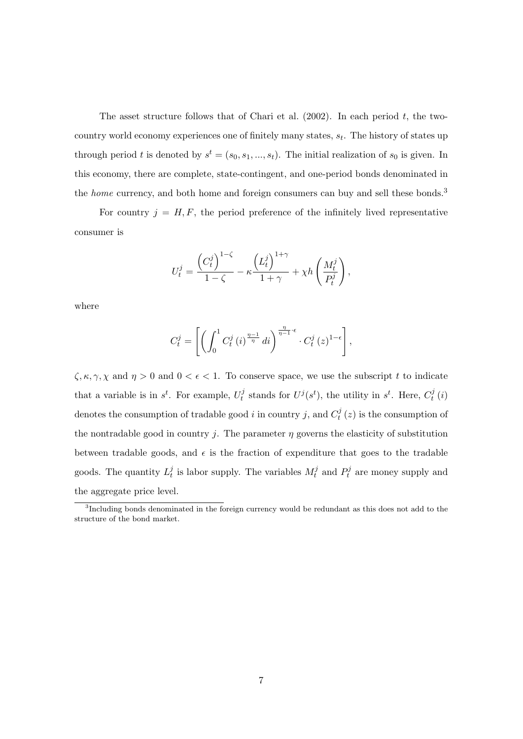The asset structure follows that of Chari et al. (2002). In each period *t*, the twocountry world economy experiences one of finitely many states, *s<sup>t</sup>* . The history of states up through period *t* is denoted by  $s^t = (s_0, s_1, ..., s_t)$ . The initial realization of  $s_0$  is given. In this economy, there are complete, state-contingent, and one-period bonds denominated in the *home* currency, and both home and foreign consumers can buy and sell these bonds.<sup>3</sup>

For country  $j = H, F$ , the period preference of the infinitely lived representative consumer is

$$
U_t^j = \frac{\left(C_t^j\right)^{1-\zeta}}{1-\zeta} - \kappa \frac{\left(L_t^j\right)^{1+\gamma}}{1+\gamma} + \chi h\left(\frac{M_t^j}{P_t^j}\right),\,
$$

where

$$
C_t^j = \left[ \left( \int_0^1 C_t^j(i)^{\frac{\eta-1}{\eta}} di \right)^{\frac{\eta}{\eta-1}\cdot\epsilon} \cdot C_t^j(z)^{1-\epsilon} \right],
$$

*ζ, κ, γ, χ* and  $η > 0$  and  $0 < ε < 1$ . To conserve space, we use the subscript *t* to indicate that a variable is in  $s^t$ . For example,  $U_t^j$  $t_i^{j}$  stands for  $U^{j}(s^t)$ , the utility in  $s^t$ . Here,  $C_t^{j}$ *t* (*i*) denotes the consumption of tradable good *i* in country *j*, and  $C_t^j$  $t_t^j(z)$  is the consumption of the nontradable good in country *j*. The parameter  $\eta$  governs the elasticity of substitution between tradable goods, and  $\epsilon$  is the fraction of expenditure that goes to the tradable goods. The quantity  $L_t^j$  $\frac{f}{t}$  is labor supply. The variables  $M_t^j$  $P_t^j$  and  $P_t^j$  $t_t^{(n)}$  are money supply and the aggregate price level.

<sup>&</sup>lt;sup>3</sup>Including bonds denominated in the foreign currency would be redundant as this does not add to the structure of the bond market.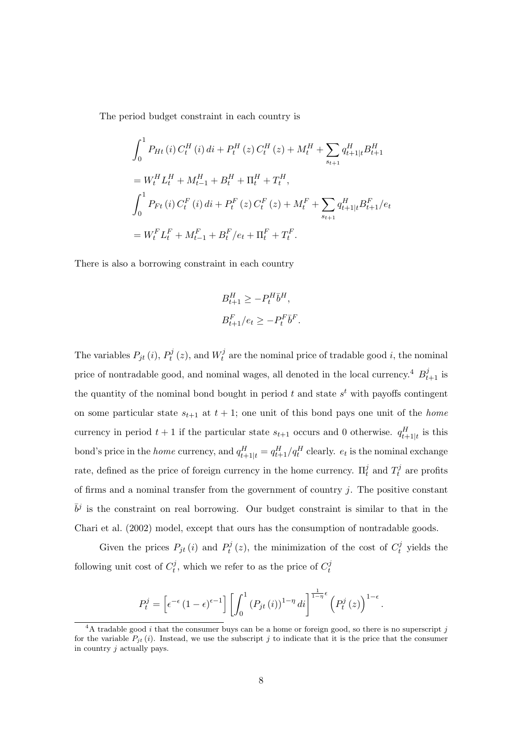The period budget constraint in each country is

$$
\int_{0}^{1} P_{Ht}(i) C_{t}^{H}(i) di + P_{t}^{H}(z) C_{t}^{H}(z) + M_{t}^{H} + \sum_{s_{t+1}} q_{t+1|t}^{H} B_{t+1}^{H}
$$
  
=  $W_{t}^{H} L_{t}^{H} + M_{t-1}^{H} + B_{t}^{H} + \Pi_{t}^{H} + T_{t}^{H},$   

$$
\int_{0}^{1} P_{Ft}(i) C_{t}^{F}(i) di + P_{t}^{F}(z) C_{t}^{F}(z) + M_{t}^{F} + \sum_{s_{t+1}} q_{t+1|t}^{H} B_{t+1}^{F}/e_{t}
$$
  
=  $W_{t}^{F} L_{t}^{F} + M_{t-1}^{F} + B_{t}^{F}/e_{t} + \Pi_{t}^{F} + T_{t}^{F}.$ 

There is also a borrowing constraint in each country

$$
B_{t+1}^H \ge -P_t^H \bar{b}^H,
$$
  

$$
B_{t+1}^F/e_t \ge -P_t^F \bar{b}^F.
$$

The variables  $P_{jt}(i)$ ,  $P_t^j$  $y_t^j(z)$ , and  $W_t^j$  $t<sub>t</sub><sup>j</sup>$  are the nominal price of tradable good *i*, the nominal price of nontradable good, and nominal wages, all denoted in the local currency.<sup>4</sup>  $B_{t+1}^j$  is the quantity of the nominal bond bought in period  $t$  and state  $s<sup>t</sup>$  with payoffs contingent on some particular state  $s_{t+1}$  at  $t+1$ ; one unit of this bond pays one unit of the *home* currency in period  $t + 1$  if the particular state  $s_{t+1}$  occurs and 0 otherwise.  $q_{t+1|t}^H$  is this bond's price in the *home* currency, and  $q_{t+1|t}^H = q_{t+1}^H / q_t^H$  clearly.  $e_t$  is the nominal exchange rate, defined as the price of foreign currency in the home currency.  $\Pi_t^j$  and  $T_t^j$  $t_t^j$  are profits of firms and a nominal transfer from the government of country *j*. The positive constant  $\bar{b}^j$  is the constraint on real borrowing. Our budget constraint is similar to that in the Chari et al. (2002) model, except that ours has the consumption of nontradable goods.

Given the prices  $P_{jt}(i)$  and  $P_t^j$  $t^{j}(z)$ , the minimization of the cost of  $C_t^{j}$  $t<sub>t</sub><sup>j</sup>$  yields the following unit cost of  $C_t^j$  $t_t^{j}$ , which we refer to as the price of  $C_t^{j}$ *t*

$$
P_t^j = \left[\epsilon^{-\epsilon} (1-\epsilon)^{\epsilon-1}\right] \left[\int_0^1 (P_{jt}(i))^{1-\eta} di\right]^{\frac{1}{1-\eta}\epsilon} \left(P_t^j(z)\right)^{1-\epsilon}.
$$

<sup>4</sup>A tradable good *i* that the consumer buys can be a home or foreign good, so there is no superscript *j* for the variable  $P_{it}(i)$ . Instead, we use the subscript *j* to indicate that it is the price that the consumer in country *j* actually pays.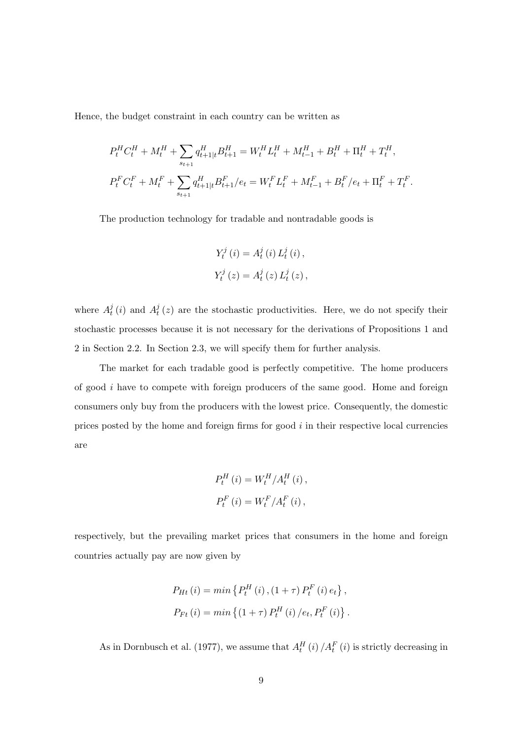Hence, the budget constraint in each country can be written as

$$
P_t^H C_t^H + M_t^H + \sum_{s_{t+1}} q_{t+1|t}^H B_{t+1}^H = W_t^H L_t^H + M_{t-1}^H + B_t^H + \Pi_t^H + T_t^H,
$$
  

$$
P_t^F C_t^F + M_t^F + \sum_{s_{t+1}} q_{t+1|t}^H B_{t+1}^F / e_t = W_t^F L_t^F + M_{t-1}^F + B_t^F / e_t + \Pi_t^F + T_t^F.
$$

The production technology for tradable and nontradable goods is

$$
Y_t^j(i) = A_t^j(i) L_t^j(i),
$$
  

$$
Y_t^j(z) = A_t^j(z) L_t^j(z),
$$

where  $A_t^j$  $f_t^j(i)$  and  $A_t^j$  $\partial_t^j(z)$  are the stochastic productivities. Here, we do not specify their stochastic processes because it is not necessary for the derivations of Propositions 1 and 2 in Section 2.2. In Section 2.3, we will specify them for further analysis.

The market for each tradable good is perfectly competitive. The home producers of good *i* have to compete with foreign producers of the same good. Home and foreign consumers only buy from the producers with the lowest price. Consequently, the domestic prices posted by the home and foreign firms for good *i* in their respective local currencies are

$$
P_t^H(i) = W_t^H / A_t^H(i),
$$
  

$$
P_t^F(i) = W_t^F / A_t^F(i),
$$

respectively, but the prevailing market prices that consumers in the home and foreign countries actually pay are now given by

$$
P_{Ht}(i) = min \{ P_t^H(i), (1 + \tau) P_t^F(i) e_t \},
$$
  

$$
P_{Ft}(i) = min \{ (1 + \tau) P_t^H(i) / e_t, P_t^F(i) \}.
$$

As in Dornbusch et al. (1977), we assume that  $A_t^H(i)/A_t^F(i)$  is strictly decreasing in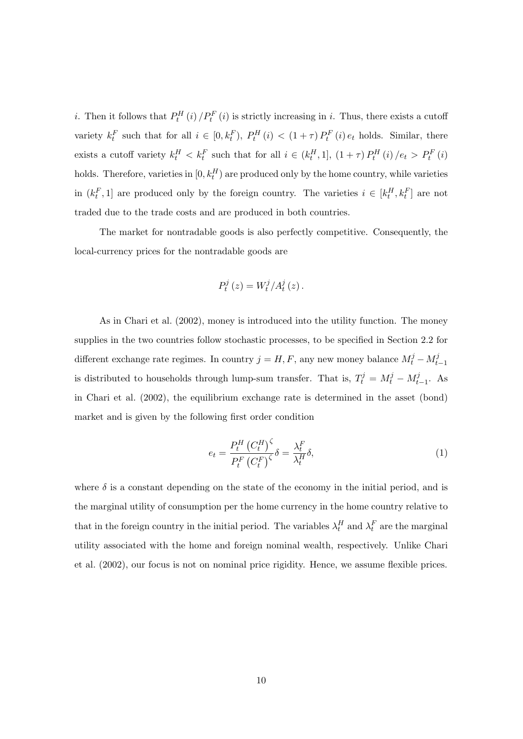*i*. Then it follows that  $P_t^H(i) / P_t^F(i)$  is strictly increasing in *i*. Thus, there exists a cutoff variety  $k_t^F$  such that for all  $i \in [0, k_t^F)$ ,  $P_t^H(i) < (1 + \tau) P_t^F(i) e_t$  holds. Similar, there exists a cutoff variety  $k_t^H < k_t^F$  such that for all  $i \in (k_t^H, 1], (1 + \tau) P_t^H(i) / e_t > P_t^F(i)$ holds. Therefore, varieties in  $[0, k_t^H)$  are produced only by the home country, while varieties in  $(k_t^F, 1]$  are produced only by the foreign country. The varieties  $i \in [k_t^H, k_t^F]$  are not traded due to the trade costs and are produced in both countries.

The market for nontradable goods is also perfectly competitive. Consequently, the local-currency prices for the nontradable goods are

$$
P_t^j(z) = W_t^j / A_t^j(z) .
$$

As in Chari et al. (2002), money is introduced into the utility function. The money supplies in the two countries follow stochastic processes, to be specified in Section 2.2 for different exchange rate regimes. In country  $j = H, F$ , any new money balance  $M_t^j - M_t^j$ *t−*1 is distributed to households through lump-sum transfer. That is,  $T_t^j = M_t^j - M_t^j$ *t−*1 . As in Chari et al. (2002), the equilibrium exchange rate is determined in the asset (bond) market and is given by the following first order condition

$$
e_t = \frac{P_t^H (C_t^H)^{\zeta}}{P_t^F (C_t^F)^{\zeta}} \delta = \frac{\lambda_t^F}{\lambda_t^H} \delta,
$$
\n(1)

where  $\delta$  is a constant depending on the state of the economy in the initial period, and is the marginal utility of consumption per the home currency in the home country relative to that in the foreign country in the initial period. The variables  $\lambda_t^H$  and  $\lambda_t^F$  are the marginal utility associated with the home and foreign nominal wealth, respectively. Unlike Chari et al. (2002), our focus is not on nominal price rigidity. Hence, we assume flexible prices.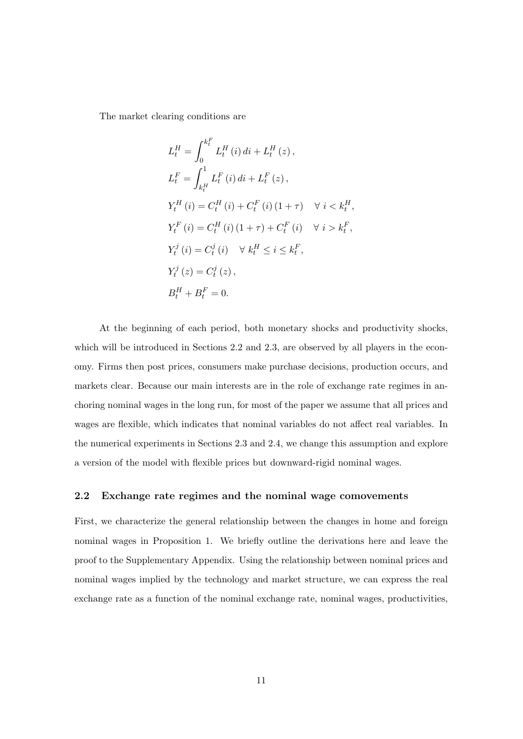The market clearing conditions are

$$
L_t^H = \int_0^{k_t^F} L_t^H(i) \, di + L_t^H(z),
$$
  
\n
$$
L_t^F = \int_{k_t^H}^1 L_t^F(i) \, di + L_t^F(z),
$$
  
\n
$$
Y_t^H(i) = C_t^H(i) + C_t^F(i) (1 + \tau) \quad \forall \ i < k_t^H,
$$
  
\n
$$
Y_t^F(i) = C_t^H(i) (1 + \tau) + C_t^F(i) \quad \forall \ i > k_t^F,
$$
  
\n
$$
Y_t^j(i) = C_t^j(i) \quad \forall \ k_t^H \le i \le k_t^F,
$$
  
\n
$$
Y_t^j(z) = C_t^j(z),
$$
  
\n
$$
B_t^H + B_t^F = 0.
$$

At the beginning of each period, both monetary shocks and productivity shocks, which will be introduced in Sections 2.2 and 2.3, are observed by all players in the economy. Firms then post prices, consumers make purchase decisions, production occurs, and markets clear. Because our main interests are in the role of exchange rate regimes in anchoring nominal wages in the long run, for most of the paper we assume that all prices and wages are flexible, which indicates that nominal variables do not affect real variables. In the numerical experiments in Sections 2.3 and 2.4, we change this assumption and explore a version of the model with flexible prices but downward-rigid nominal wages.

#### **2.2 Exchange rate regimes and the nominal wage comovements**

First, we characterize the general relationship between the changes in home and foreign nominal wages in Proposition 1. We briefly outline the derivations here and leave the proof to the Supplementary Appendix. Using the relationship between nominal prices and nominal wages implied by the technology and market structure, we can express the real exchange rate as a function of the nominal exchange rate, nominal wages, productivities,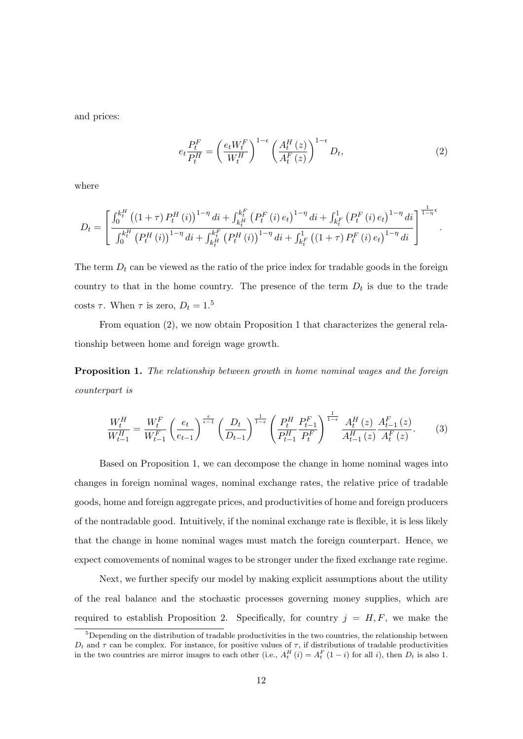and prices:

$$
e_t \frac{P_t^F}{P_t^H} = \left(\frac{e_t W_t^F}{W_t^H}\right)^{1-\epsilon} \left(\frac{A_t^H(z)}{A_t^F(z)}\right)^{1-\epsilon} D_t,\tag{2}
$$

where

$$
D_{t} = \left[ \frac{\int_{0}^{k_{t}^{H}} \left( (1+\tau) P_{t}^{H}(i) \right)^{1-\eta} di + \int_{k_{t}^{H}}^{k_{t}^{F}} \left( P_{t}^{F}(i) e_{t} \right)^{1-\eta} di + \int_{k_{t}^{F}}^{1} \left( P_{t}^{F}(i) e_{t} \right)^{1-\eta} di}{\int_{0}^{k_{t}^{H}} \left( P_{t}^{H}(i) \right)^{1-\eta} di + \int_{k_{t}^{H}}^{k_{t}^{F}} \left( P_{t}^{H}(i) \right)^{1-\eta} di + \int_{k_{t}^{F}}^{1} \left( (1+\tau) P_{t}^{F}(i) e_{t} \right)^{1-\eta} di} \right]^{\frac{1}{1-\eta} \epsilon}.
$$

The term  $D_t$  can be viewed as the ratio of the price index for tradable goods in the foreign country to that in the home country. The presence of the term  $D_t$  is due to the trade costs  $\tau$ . When  $\tau$  is zero,  $D_t = 1.5$ 

From equation (2), we now obtain Proposition 1 that characterizes the general relationship between home and foreign wage growth.

**Proposition 1.** *The relationship between growth in home nominal wages and the foreign counterpart is*

$$
\frac{W_t^H}{W_{t-1}^H} = \frac{W_t^F}{W_{t-1}^F} \left(\frac{e_t}{e_{t-1}}\right)^{\frac{\epsilon}{\epsilon-1}} \left(\frac{D_t}{D_{t-1}}\right)^{\frac{1}{1-\epsilon}} \left(\frac{P_t^H}{P_{t-1}^H} \frac{P_{t-1}^F}{P_t^F}\right)^{\frac{1}{1-\epsilon}} \frac{A_t^H(z)}{A_{t-1}^H(z)} \frac{A_{t-1}^F(z)}{A_t^F(z)}.
$$
(3)

Based on Proposition 1, we can decompose the change in home nominal wages into changes in foreign nominal wages, nominal exchange rates, the relative price of tradable goods, home and foreign aggregate prices, and productivities of home and foreign producers of the nontradable good. Intuitively, if the nominal exchange rate is flexible, it is less likely that the change in home nominal wages must match the foreign counterpart. Hence, we expect comovements of nominal wages to be stronger under the fixed exchange rate regime.

Next, we further specify our model by making explicit assumptions about the utility of the real balance and the stochastic processes governing money supplies, which are required to establish Proposition 2. Specifically, for country  $j = H, F$ , we make the

<sup>&</sup>lt;sup>5</sup>Depending on the distribution of tradable productivities in the two countries, the relationship between  $D_t$  and  $\tau$  can be complex. For instance, for positive values of  $\tau$ , if distributions of tradable productivities in the two countries are mirror images to each other (i.e.,  $A_t^H(i) = A_t^F(1-i)$  for all *i*), then  $D_t$  is also 1.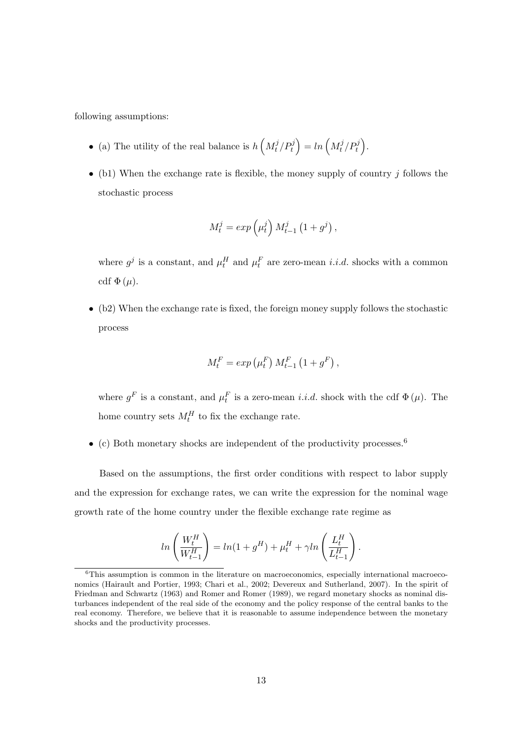following assumptions:

- (a) The utility of the real balance is  $h\left(M_t^j\right)$  $\left( \frac{j}{t}/P_t^j \right) = ln \left( M_t^j \right)$  $\frac{f}{t}/P_t^j\Big).$
- *•* (b1) When the exchange rate is flexible, the money supply of country *j* follows the stochastic process

$$
M_t^j = exp\left(\mu_t^j\right) M_{t-1}^j \left(1 + g^j\right),\,
$$

where  $g^j$  is a constant, and  $\mu_t^H$  and  $\mu_t^F$  are zero-mean *i.i.d.* shocks with a common cdf  $\Phi(\mu)$ .

• (b2) When the exchange rate is fixed, the foreign money supply follows the stochastic process

$$
M_t^F = exp\left(\mu_t^F\right)M_{t-1}^F\left(1+g^F\right),\,
$$

where  $g^F$  is a constant, and  $\mu_t^F$  is a zero-mean *i.i.d.* shock with the cdf  $\Phi(\mu)$ . The home country sets  $M_t^H$  to fix the exchange rate.

*•* (c) Both monetary shocks are independent of the productivity processes.<sup>6</sup>

Based on the assumptions, the first order conditions with respect to labor supply and the expression for exchange rates, we can write the expression for the nominal wage growth rate of the home country under the flexible exchange rate regime as

$$
ln\left(\frac{W_t^H}{W_{t-1}^H}\right) = ln(1 + g^H) + \mu_t^H + \gamma ln\left(\frac{L_t^H}{L_{t-1}^H}\right).
$$

 ${}^{6}$ This assumption is common in the literature on macroeconomics, especially international macroeconomics (Hairault and Portier, 1993; Chari et al., 2002; Devereux and Sutherland, 2007). In the spirit of Friedman and Schwartz (1963) and Romer and Romer (1989), we regard monetary shocks as nominal disturbances independent of the real side of the economy and the policy response of the central banks to the real economy. Therefore, we believe that it is reasonable to assume independence between the monetary shocks and the productivity processes.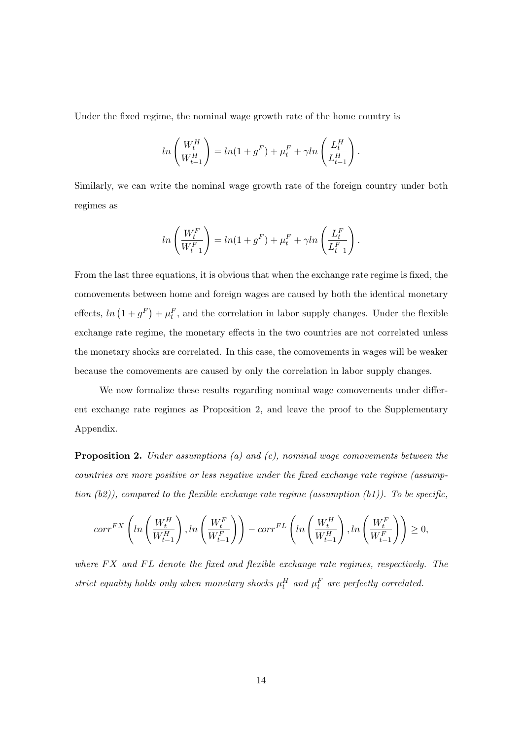Under the fixed regime, the nominal wage growth rate of the home country is

$$
ln\left(\frac{W_t^H}{W_{t-1}^H}\right) = ln(1+g^F) + \mu_t^F + \gamma ln\left(\frac{L_t^H}{L_{t-1}^H}\right).
$$

Similarly, we can write the nominal wage growth rate of the foreign country under both regimes as

$$
ln\left(\frac{W_t^F}{W_{t-1}^F}\right) = ln(1 + g^F) + \mu_t^F + \gamma ln\left(\frac{L_t^F}{L_{t-1}^F}\right).
$$

From the last three equations, it is obvious that when the exchange rate regime is fixed, the comovements between home and foreign wages are caused by both the identical monetary effects,  $ln(1+g^F) + \mu_t^F$ , and the correlation in labor supply changes. Under the flexible exchange rate regime, the monetary effects in the two countries are not correlated unless the monetary shocks are correlated. In this case, the comovements in wages will be weaker because the comovements are caused by only the correlation in labor supply changes.

We now formalize these results regarding nominal wage comovements under different exchange rate regimes as Proposition 2, and leave the proof to the Supplementary Appendix.

**Proposition 2.** *Under assumptions (a) and (c), nominal wage comovements between the countries are more positive or less negative under the fixed exchange rate regime (assumption (b2)), compared to the flexible exchange rate regime (assumption (b1)). To be specific,*

$$
corr^{FX} \left( \ln \left( \frac{W_t^H}{W_{t-1}^H} \right), \ln \left( \frac{W_t^F}{W_{t-1}^F} \right) \right) - corr^{FL} \left( \ln \left( \frac{W_t^H}{W_{t-1}^H} \right), \ln \left( \frac{W_t^F}{W_{t-1}^F} \right) \right) \ge 0,
$$

*where F X and F L denote the fixed and flexible exchange rate regimes, respectively. The strict equality holds only when monetary shocks*  $\mu_t^H$  *and*  $\mu_t^F$  *are perfectly correlated.*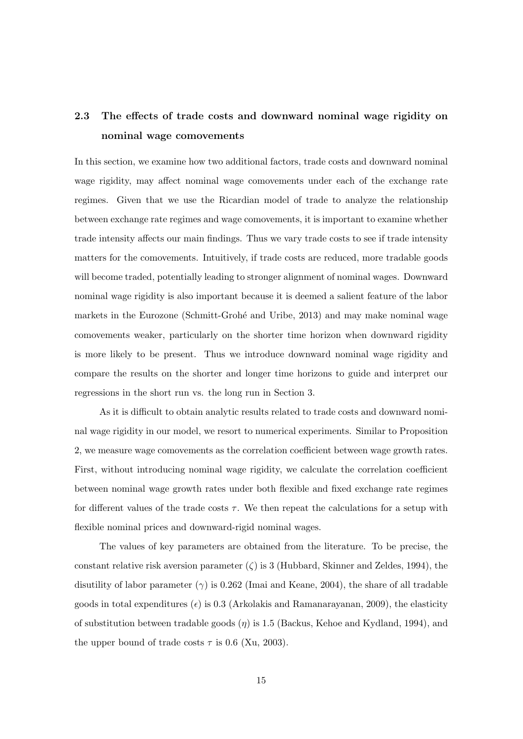## **2.3 The effects of trade costs and downward nominal wage rigidity on nominal wage comovements**

In this section, we examine how two additional factors, trade costs and downward nominal wage rigidity, may affect nominal wage comovements under each of the exchange rate regimes. Given that we use the Ricardian model of trade to analyze the relationship between exchange rate regimes and wage comovements, it is important to examine whether trade intensity affects our main findings. Thus we vary trade costs to see if trade intensity matters for the comovements. Intuitively, if trade costs are reduced, more tradable goods will become traded, potentially leading to stronger alignment of nominal wages. Downward nominal wage rigidity is also important because it is deemed a salient feature of the labor markets in the Eurozone (Schmitt-Grohé and Uribe, 2013) and may make nominal wage comovements weaker, particularly on the shorter time horizon when downward rigidity is more likely to be present. Thus we introduce downward nominal wage rigidity and compare the results on the shorter and longer time horizons to guide and interpret our regressions in the short run vs. the long run in Section 3.

As it is difficult to obtain analytic results related to trade costs and downward nominal wage rigidity in our model, we resort to numerical experiments. Similar to Proposition 2, we measure wage comovements as the correlation coefficient between wage growth rates. First, without introducing nominal wage rigidity, we calculate the correlation coefficient between nominal wage growth rates under both flexible and fixed exchange rate regimes for different values of the trade costs  $\tau$ . We then repeat the calculations for a setup with flexible nominal prices and downward-rigid nominal wages.

The values of key parameters are obtained from the literature. To be precise, the constant relative risk aversion parameter  $(\zeta)$  is 3 (Hubbard, Skinner and Zeldes, 1994), the disutility of labor parameter ( $\gamma$ ) is 0.262 (Imai and Keane, 2004), the share of all tradable goods in total expenditures ( $\epsilon$ ) is 0.3 (Arkolakis and Ramanarayanan, 2009), the elasticity of substitution between tradable goods (*η*) is 1.5 (Backus, Kehoe and Kydland, 1994), and the upper bound of trade costs  $\tau$  is 0.6 (Xu, 2003).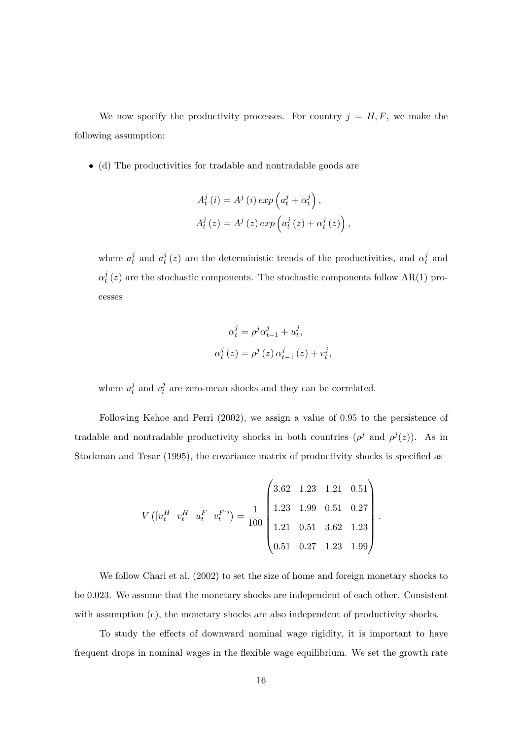We now specify the productivity processes. For country  $j = H, F$ , we make the following assumption:

*•* (d) The productivities for tradable and nontradable goods are

$$
A_t^j(i) = A^j(i) \exp\left(a_t^j + \alpha_t^j\right),
$$
  

$$
A_t^j(z) = A^j(z) \exp\left(a_t^j(z) + \alpha_t^j(z)\right),
$$

where  $a_t^j$  $\frac{j}{t}$  and  $a_t^j$  $\sigma_t^j(z)$  are the deterministic trends of the productivities, and  $\alpha_t^j$  $t_t^j$  and  $\alpha_t^j$  $t(t)$  are the stochastic components. The stochastic components follow AR(1) processes

$$
\alpha_t^j = \rho^j \alpha_{t-1}^j + u_t^j,
$$
  

$$
\alpha_t^j(z) = \rho^j(z) \alpha_{t-1}^j(z) + v_t^j,
$$

where  $u_t^j$  $\frac{j}{t}$  and  $v_t^j$  $t<sub>t</sub><sup>j</sup>$  are zero-mean shocks and they can be correlated.

Following Kehoe and Perri (2002), we assign a value of 0.95 to the persistence of tradable and nontradable productivity shocks in both countries  $(\rho^j$  and  $\rho^j(z)$ ). As in Stockman and Tesar (1995), the covariance matrix of productivity shocks is specified as

$$
V([u_t^H \t v_t^H \t u_t^F \t v_t^F]') = \frac{1}{100} \begin{pmatrix} 3.62 & 1.23 & 1.21 & 0.51 \\ 1.23 & 1.99 & 0.51 & 0.27 \\ 1.21 & 0.51 & 3.62 & 1.23 \\ 0.51 & 0.27 & 1.23 & 1.99 \end{pmatrix}.
$$

We follow Chari et al.  $(2002)$  to set the size of home and foreign monetary shocks to be 0.023. We assume that the monetary shocks are independent of each other. Consistent with assumption (c), the monetary shocks are also independent of productivity shocks.

To study the effects of downward nominal wage rigidity, it is important to have frequent drops in nominal wages in the flexible wage equilibrium. We set the growth rate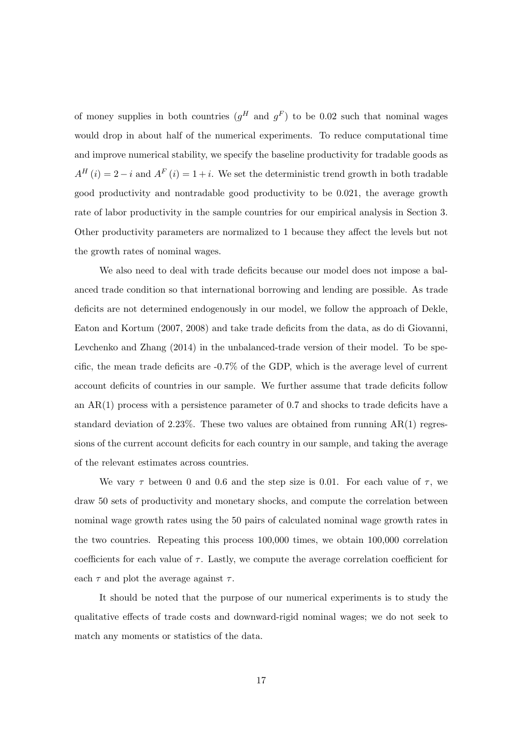of money supplies in both countries  $(g^H \text{ and } g^F)$  to be 0.02 such that nominal wages would drop in about half of the numerical experiments. To reduce computational time and improve numerical stability, we specify the baseline productivity for tradable goods as  $A^H(i) = 2 - i$  and  $A^F(i) = 1 + i$ . We set the deterministic trend growth in both tradable good productivity and nontradable good productivity to be 0.021, the average growth rate of labor productivity in the sample countries for our empirical analysis in Section 3. Other productivity parameters are normalized to 1 because they affect the levels but not the growth rates of nominal wages.

We also need to deal with trade deficits because our model does not impose a balanced trade condition so that international borrowing and lending are possible. As trade deficits are not determined endogenously in our model, we follow the approach of Dekle, Eaton and Kortum (2007, 2008) and take trade deficits from the data, as do di Giovanni, Levchenko and Zhang (2014) in the unbalanced-trade version of their model. To be specific, the mean trade deficits are -0.7% of the GDP, which is the average level of current account deficits of countries in our sample. We further assume that trade deficits follow an  $AR(1)$  process with a persistence parameter of 0.7 and shocks to trade deficits have a standard deviation of 2.23%. These two values are obtained from running  $AR(1)$  regressions of the current account deficits for each country in our sample, and taking the average of the relevant estimates across countries.

We vary  $\tau$  between 0 and 0.6 and the step size is 0.01. For each value of  $\tau$ , we draw 50 sets of productivity and monetary shocks, and compute the correlation between nominal wage growth rates using the 50 pairs of calculated nominal wage growth rates in the two countries. Repeating this process 100,000 times, we obtain 100,000 correlation coefficients for each value of *τ* . Lastly, we compute the average correlation coefficient for each  $\tau$  and plot the average against  $\tau$ .

It should be noted that the purpose of our numerical experiments is to study the qualitative effects of trade costs and downward-rigid nominal wages; we do not seek to match any moments or statistics of the data.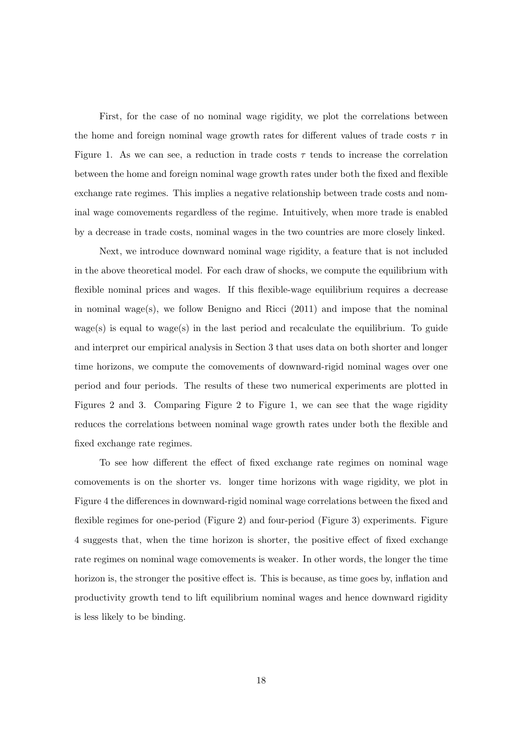First, for the case of no nominal wage rigidity, we plot the correlations between the home and foreign nominal wage growth rates for different values of trade costs *τ* in Figure 1. As we can see, a reduction in trade costs  $\tau$  tends to increase the correlation between the home and foreign nominal wage growth rates under both the fixed and flexible exchange rate regimes. This implies a negative relationship between trade costs and nominal wage comovements regardless of the regime. Intuitively, when more trade is enabled by a decrease in trade costs, nominal wages in the two countries are more closely linked.

Next, we introduce downward nominal wage rigidity, a feature that is not included in the above theoretical model. For each draw of shocks, we compute the equilibrium with flexible nominal prices and wages. If this flexible-wage equilibrium requires a decrease in nominal wage(s), we follow Benigno and Ricci  $(2011)$  and impose that the nominal  $wage(s)$  is equal to  $wage(s)$  in the last period and recalculate the equilibrium. To guide and interpret our empirical analysis in Section 3 that uses data on both shorter and longer time horizons, we compute the comovements of downward-rigid nominal wages over one period and four periods. The results of these two numerical experiments are plotted in Figures 2 and 3. Comparing Figure 2 to Figure 1, we can see that the wage rigidity reduces the correlations between nominal wage growth rates under both the flexible and fixed exchange rate regimes.

To see how different the effect of fixed exchange rate regimes on nominal wage comovements is on the shorter vs. longer time horizons with wage rigidity, we plot in Figure 4 the differences in downward-rigid nominal wage correlations between the fixed and flexible regimes for one-period (Figure 2) and four-period (Figure 3) experiments. Figure 4 suggests that, when the time horizon is shorter, the positive effect of fixed exchange rate regimes on nominal wage comovements is weaker. In other words, the longer the time horizon is, the stronger the positive effect is. This is because, as time goes by, inflation and productivity growth tend to lift equilibrium nominal wages and hence downward rigidity is less likely to be binding.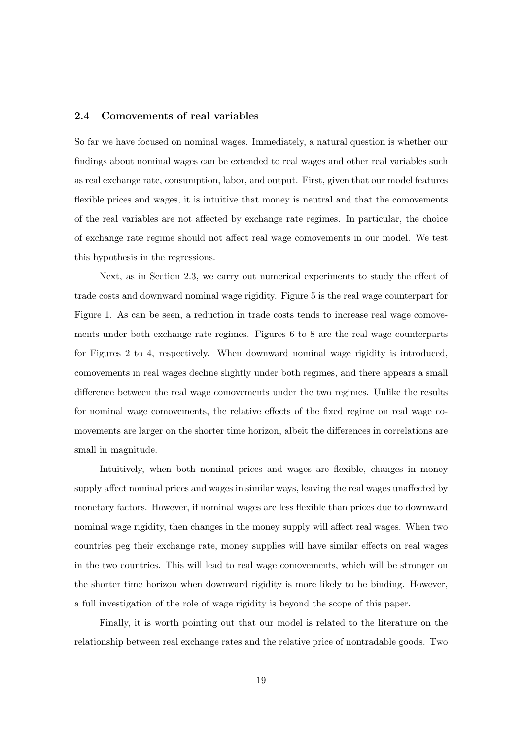#### **2.4 Comovements of real variables**

So far we have focused on nominal wages. Immediately, a natural question is whether our findings about nominal wages can be extended to real wages and other real variables such as real exchange rate, consumption, labor, and output. First, given that our model features flexible prices and wages, it is intuitive that money is neutral and that the comovements of the real variables are not affected by exchange rate regimes. In particular, the choice of exchange rate regime should not affect real wage comovements in our model. We test this hypothesis in the regressions.

Next, as in Section 2.3, we carry out numerical experiments to study the effect of trade costs and downward nominal wage rigidity. Figure 5 is the real wage counterpart for Figure 1. As can be seen, a reduction in trade costs tends to increase real wage comovements under both exchange rate regimes. Figures 6 to 8 are the real wage counterparts for Figures 2 to 4, respectively. When downward nominal wage rigidity is introduced, comovements in real wages decline slightly under both regimes, and there appears a small difference between the real wage comovements under the two regimes. Unlike the results for nominal wage comovements, the relative effects of the fixed regime on real wage comovements are larger on the shorter time horizon, albeit the differences in correlations are small in magnitude.

Intuitively, when both nominal prices and wages are flexible, changes in money supply affect nominal prices and wages in similar ways, leaving the real wages unaffected by monetary factors. However, if nominal wages are less flexible than prices due to downward nominal wage rigidity, then changes in the money supply will affect real wages. When two countries peg their exchange rate, money supplies will have similar effects on real wages in the two countries. This will lead to real wage comovements, which will be stronger on the shorter time horizon when downward rigidity is more likely to be binding. However, a full investigation of the role of wage rigidity is beyond the scope of this paper.

Finally, it is worth pointing out that our model is related to the literature on the relationship between real exchange rates and the relative price of nontradable goods. Two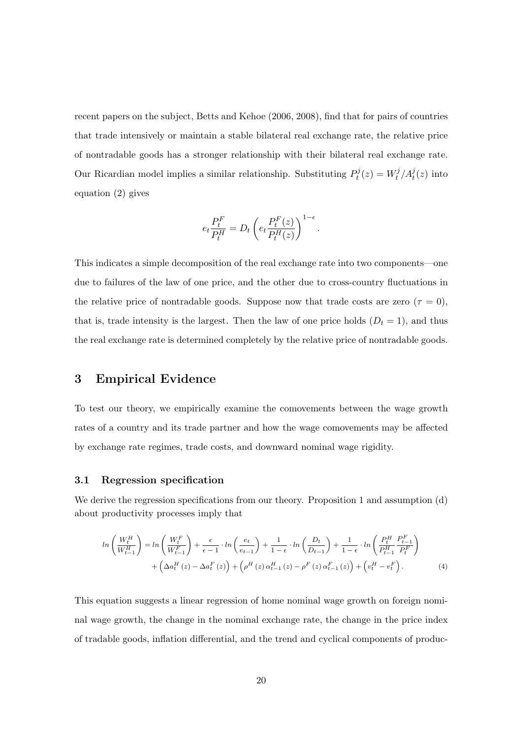recent papers on the subject, Betts and Kehoe (2006, 2008), find that for pairs of countries that trade intensively or maintain a stable bilateral real exchange rate, the relative price of nontradable goods has a stronger relationship with their bilateral real exchange rate. Our Ricardian model implies a similar relationship. Substituting  $P_t^j$  $v_t^j(z) = W_t^j$  $t_t^j / A_t^j(z)$  into equation (2) gives

$$
e_t \frac{P_t^F}{P_t^H} = D_t \left( e_t \frac{P_t^F(z)}{P_t^H(z)} \right)^{1-\epsilon}.
$$

This indicates a simple decomposition of the real exchange rate into two components—one due to failures of the law of one price, and the other due to cross-country fluctuations in the relative price of nontradable goods. Suppose now that trade costs are zero  $(τ = 0)$ , that is, trade intensity is the largest. Then the law of one price holds  $(D<sub>t</sub> = 1)$ , and thus the real exchange rate is determined completely by the relative price of nontradable goods.

## **3 Empirical Evidence**

To test our theory, we empirically examine the comovements between the wage growth rates of a country and its trade partner and how the wage comovements may be affected by exchange rate regimes, trade costs, and downward nominal wage rigidity.

#### **3.1 Regression specification**

We derive the regression specifications from our theory. Proposition 1 and assumption (d) about productivity processes imply that

$$
ln\left(\frac{W_t^H}{W_{t-1}^H}\right) = ln\left(\frac{W_t^F}{W_{t-1}^F}\right) + \frac{\epsilon}{\epsilon - 1} \cdot ln\left(\frac{e_t}{e_{t-1}}\right) + \frac{1}{1 - \epsilon} \cdot ln\left(\frac{D_t}{D_{t-1}}\right) + \frac{1}{1 - \epsilon} \cdot ln\left(\frac{P_t^H}{P_{t-1}^H} \frac{P_{t-1}^F}{P_t^F}\right) + \left(\Delta a_t^H\left(z\right) - \Delta a_t^F\left(z\right)\right) + \left(\rho^H\left(z\right)\alpha_{t-1}^H\left(z\right) - \rho^F\left(z\right)\alpha_{t-1}^F\left(z\right)\right) + \left(v_t^H - v_t^F\right). \tag{4}
$$

This equation suggests a linear regression of home nominal wage growth on foreign nominal wage growth, the change in the nominal exchange rate, the change in the price index of tradable goods, inflation differential, and the trend and cyclical components of produc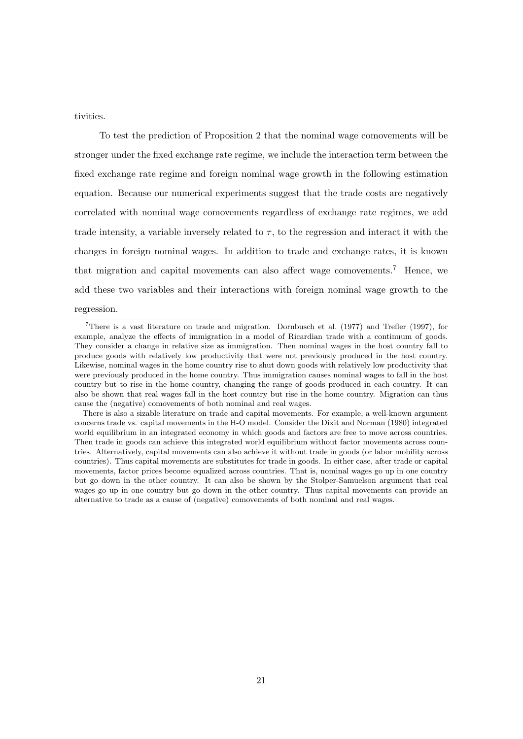tivities.

To test the prediction of Proposition 2 that the nominal wage comovements will be stronger under the fixed exchange rate regime, we include the interaction term between the fixed exchange rate regime and foreign nominal wage growth in the following estimation equation. Because our numerical experiments suggest that the trade costs are negatively correlated with nominal wage comovements regardless of exchange rate regimes, we add trade intensity, a variable inversely related to  $\tau$ , to the regression and interact it with the changes in foreign nominal wages. In addition to trade and exchange rates, it is known that migration and capital movements can also affect wage comovements.<sup>7</sup> Hence, we add these two variables and their interactions with foreign nominal wage growth to the regression.

<sup>&</sup>lt;sup>7</sup>There is a vast literature on trade and migration. Dornbusch et al.  $(1977)$  and Trefler  $(1997)$ , for example, analyze the effects of immigration in a model of Ricardian trade with a continuum of goods. They consider a change in relative size as immigration. Then nominal wages in the host country fall to produce goods with relatively low productivity that were not previously produced in the host country. Likewise, nominal wages in the home country rise to shut down goods with relatively low productivity that were previously produced in the home country. Thus immigration causes nominal wages to fall in the host country but to rise in the home country, changing the range of goods produced in each country. It can also be shown that real wages fall in the host country but rise in the home country. Migration can thus cause the (negative) comovements of both nominal and real wages.

There is also a sizable literature on trade and capital movements. For example, a well-known argument concerns trade vs. capital movements in the H-O model. Consider the Dixit and Norman (1980) integrated world equilibrium in an integrated economy in which goods and factors are free to move across countries. Then trade in goods can achieve this integrated world equilibrium without factor movements across countries. Alternatively, capital movements can also achieve it without trade in goods (or labor mobility across countries). Thus capital movements are substitutes for trade in goods. In either case, after trade or capital movements, factor prices become equalized across countries. That is, nominal wages go up in one country but go down in the other country. It can also be shown by the Stolper-Samuelson argument that real wages go up in one country but go down in the other country. Thus capital movements can provide an alternative to trade as a cause of (negative) comovements of both nominal and real wages.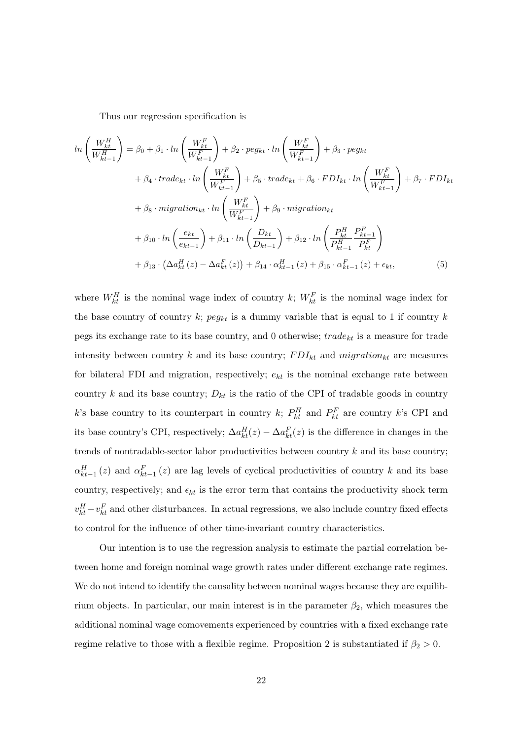Thus our regression specification is

$$
ln\left(\frac{W_{kt}^{H}}{W_{kt-1}^{H}}\right) = \beta_{0} + \beta_{1} \cdot ln\left(\frac{W_{kt}^{F}}{W_{kt-1}^{F}}\right) + \beta_{2} \cdot peg_{kt} \cdot ln\left(\frac{W_{kt}^{F}}{W_{kt-1}^{F}}\right) + \beta_{3} \cdot peg_{kt}
$$
  
+  $\beta_{4} \cdot trade_{kt} \cdot ln\left(\frac{W_{kt}^{F}}{W_{kt-1}^{F}}\right) + \beta_{5} \cdot trade_{kt} + \beta_{6} \cdot FDI_{kt} \cdot ln\left(\frac{W_{kt}^{F}}{W_{kt-1}^{F}}\right) + \beta_{7} \cdot FDI_{kt}$   
+  $\beta_{8} \cdot migration_{kt} \cdot ln\left(\frac{W_{kt}^{F}}{W_{kt-1}^{F}}\right) + \beta_{9} \cdot migration_{kt}$   
+  $\beta_{10} \cdot ln\left(\frac{e_{kt}}{e_{kt-1}}\right) + \beta_{11} \cdot ln\left(\frac{D_{kt}}{D_{kt-1}}\right) + \beta_{12} \cdot ln\left(\frac{P_{kt}^{H}}{P_{kt-1}^{H}} \frac{P_{kt-1}^{F}}{P_{kt}^{F}}\right)$   
+  $\beta_{13} \cdot \left(\Delta a_{kt}^{H}(z) - \Delta a_{kt}^{F}(z)\right) + \beta_{14} \cdot \alpha_{kt-1}^{H}(z) + \beta_{15} \cdot \alpha_{kt-1}^{F}(z) + \epsilon_{kt},$  (5)

where  $W_{kt}^H$  is the nominal wage index of country  $k$ ;  $W_{kt}^F$  is the nominal wage index for the base country of country  $k$ ;  $\text{peg}_{kt}$  is a dummy variable that is equal to 1 if country  $k$ pegs its exchange rate to its base country, and 0 otherwise; *tradekt* is a measure for trade intensity between country  $k$  and its base country;  $FDI_{kt}$  and  $migration_{kt}$  are measures for bilateral FDI and migration, respectively; *ekt* is the nominal exchange rate between country *k* and its base country;  $D_{kt}$  is the ratio of the CPI of tradable goods in country *k*'s base country to its counterpart in country *k*;  $P_{kt}^H$  and  $P_{kt}^F$  are country *k*'s CPI and its base country's CPI, respectively;  $\Delta a_{kt}^H(z) - \Delta a_{kt}^F(z)$  is the difference in changes in the trends of nontradable-sector labor productivities between country *k* and its base country;  $\alpha_{kt-1}^H(z)$  and  $\alpha_{kt-1}^F(z)$  are lag levels of cyclical productivities of country *k* and its base country, respectively; and  $\epsilon_{kt}$  is the error term that contains the productivity shock term  $v_{kt}^H - v_{kt}^F$  and other disturbances. In actual regressions, we also include country fixed effects to control for the influence of other time-invariant country characteristics.

Our intention is to use the regression analysis to estimate the partial correlation between home and foreign nominal wage growth rates under different exchange rate regimes. We do not intend to identify the causality between nominal wages because they are equilibrium objects. In particular, our main interest is in the parameter *β*2, which measures the additional nominal wage comovements experienced by countries with a fixed exchange rate regime relative to those with a flexible regime. Proposition 2 is substantiated if  $\beta_2 > 0$ .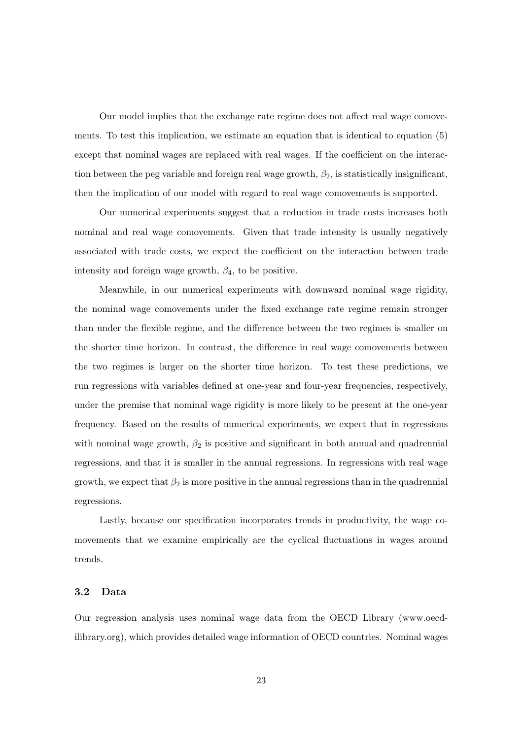Our model implies that the exchange rate regime does not affect real wage comovements. To test this implication, we estimate an equation that is identical to equation (5) except that nominal wages are replaced with real wages. If the coefficient on the interaction between the peg variable and foreign real wage growth,  $\beta_2$ , is statistically insignificant, then the implication of our model with regard to real wage comovements is supported.

Our numerical experiments suggest that a reduction in trade costs increases both nominal and real wage comovements. Given that trade intensity is usually negatively associated with trade costs, we expect the coefficient on the interaction between trade intensity and foreign wage growth,  $\beta_4$ , to be positive.

Meanwhile, in our numerical experiments with downward nominal wage rigidity, the nominal wage comovements under the fixed exchange rate regime remain stronger than under the flexible regime, and the difference between the two regimes is smaller on the shorter time horizon. In contrast, the difference in real wage comovements between the two regimes is larger on the shorter time horizon. To test these predictions, we run regressions with variables defined at one-year and four-year frequencies, respectively, under the premise that nominal wage rigidity is more likely to be present at the one-year frequency. Based on the results of numerical experiments, we expect that in regressions with nominal wage growth,  $\beta_2$  is positive and significant in both annual and quadrennial regressions, and that it is smaller in the annual regressions. In regressions with real wage growth, we expect that  $\beta_2$  is more positive in the annual regressions than in the quadrennial regressions.

Lastly, because our specification incorporates trends in productivity, the wage comovements that we examine empirically are the cyclical fluctuations in wages around trends.

#### **3.2 Data**

Our regression analysis uses nominal wage data from the OECD Library (www.oecdilibrary.org), which provides detailed wage information of OECD countries. Nominal wages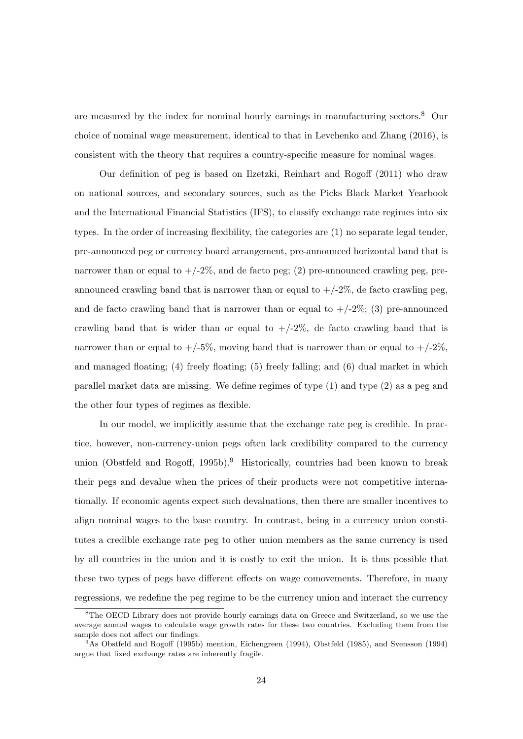are measured by the index for nominal hourly earnings in manufacturing sectors.<sup>8</sup> Our choice of nominal wage measurement, identical to that in Levchenko and Zhang (2016), is consistent with the theory that requires a country-specific measure for nominal wages.

Our definition of peg is based on Ilzetzki, Reinhart and Rogoff (2011) who draw on national sources, and secondary sources, such as the Picks Black Market Yearbook and the International Financial Statistics (IFS), to classify exchange rate regimes into six types. In the order of increasing flexibility, the categories are (1) no separate legal tender, pre-announced peg or currency board arrangement, pre-announced horizontal band that is narrower than or equal to  $+/-2\%$ , and de facto peg; (2) pre-announced crawling peg, preannounced crawling band that is narrower than or equal to  $+/-2\%$ , de facto crawling peg, and de facto crawling band that is narrower than or equal to  $+/-2\%$ ; (3) pre-announced crawling band that is wider than or equal to  $+/-2\%$ , de facto crawling band that is narrower than or equal to  $+/-5\%$ , moving band that is narrower than or equal to  $+/-2\%$ , and managed floating;  $(4)$  freely floating;  $(5)$  freely falling; and  $(6)$  dual market in which parallel market data are missing. We define regimes of type (1) and type (2) as a peg and the other four types of regimes as flexible.

In our model, we implicitly assume that the exchange rate peg is credible. In practice, however, non-currency-union pegs often lack credibility compared to the currency union (Obstfeld and Rogoff, 1995b).<sup>9</sup> Historically, countries had been known to break their pegs and devalue when the prices of their products were not competitive internationally. If economic agents expect such devaluations, then there are smaller incentives to align nominal wages to the base country. In contrast, being in a currency union constitutes a credible exchange rate peg to other union members as the same currency is used by all countries in the union and it is costly to exit the union. It is thus possible that these two types of pegs have different effects on wage comovements. Therefore, in many regressions, we redefine the peg regime to be the currency union and interact the currency

<sup>8</sup>The OECD Library does not provide hourly earnings data on Greece and Switzerland, so we use the average annual wages to calculate wage growth rates for these two countries. Excluding them from the sample does not affect our findings.

 ${}^{9}$ As Obstfeld and Rogoff (1995b) mention, Eichengreen (1994), Obstfeld (1985), and Svensson (1994) argue that fixed exchange rates are inherently fragile.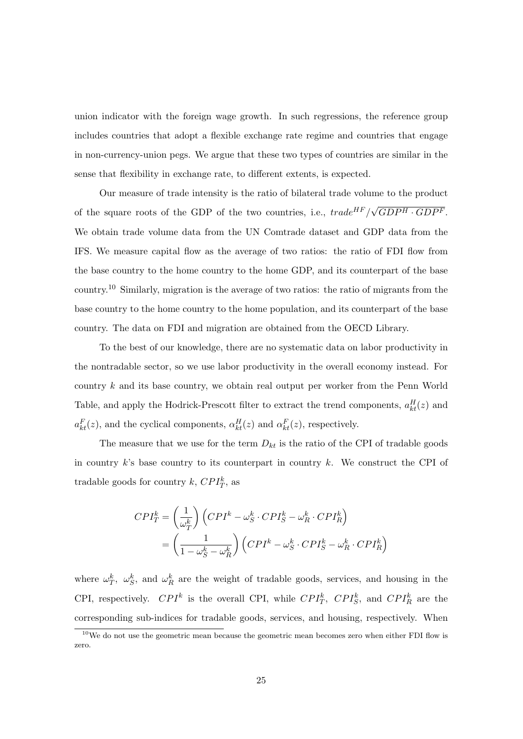union indicator with the foreign wage growth. In such regressions, the reference group includes countries that adopt a flexible exchange rate regime and countries that engage in non-currency-union pegs. We argue that these two types of countries are similar in the sense that flexibility in exchange rate, to different extents, is expected.

Our measure of trade intensity is the ratio of bilateral trade volume to the product of the square roots of the GDP of the two countries, i.e.,  $trade^{HF}/\sqrt{GDP^H \cdot GDP^F}$ . We obtain trade volume data from the UN Comtrade dataset and GDP data from the IFS. We measure capital flow as the average of two ratios: the ratio of FDI flow from the base country to the home country to the home GDP, and its counterpart of the base country.<sup>10</sup> Similarly, migration is the average of two ratios: the ratio of migrants from the base country to the home country to the home population, and its counterpart of the base country. The data on FDI and migration are obtained from the OECD Library.

To the best of our knowledge, there are no systematic data on labor productivity in the nontradable sector, so we use labor productivity in the overall economy instead. For country *k* and its base country, we obtain real output per worker from the Penn World Table, and apply the Hodrick-Prescott filter to extract the trend components,  $a_{kt}^H(z)$  and  $a_{kt}^F(z)$ , and the cyclical components,  $\alpha_{kt}^H(z)$  and  $\alpha_{kt}^F(z)$ , respectively.

The measure that we use for the term  $D_{kt}$  is the ratio of the CPI of tradable goods in country *k*'s base country to its counterpart in country *k*. We construct the CPI of tradable goods for country  $k$ ,  $CPI_T^k$ , as

$$
CPI_T^k = \left(\frac{1}{\omega_T^k}\right) \left(CPI^k - \omega_S^k \cdot CPI_S^k - \omega_R^k \cdot CPI_R^k\right)
$$

$$
= \left(\frac{1}{1 - \omega_S^k - \omega_R^k}\right) \left(CPI^k - \omega_S^k \cdot CPI_S^k - \omega_R^k \cdot CPI_R^k\right)
$$

where  $\omega_T^k$ ,  $\omega_S^k$ , and  $\omega_R^k$  are the weight of tradable goods, services, and housing in the CPI, respectively. *CPI*<sup>*k*</sup> is the overall CPI, while  $CPI_T^k$ ,  $CPI_S^k$ , and  $CPI_R^k$  are the corresponding sub-indices for tradable goods, services, and housing, respectively. When

<sup>&</sup>lt;sup>10</sup>We do not use the geometric mean because the geometric mean becomes zero when either FDI flow is zero.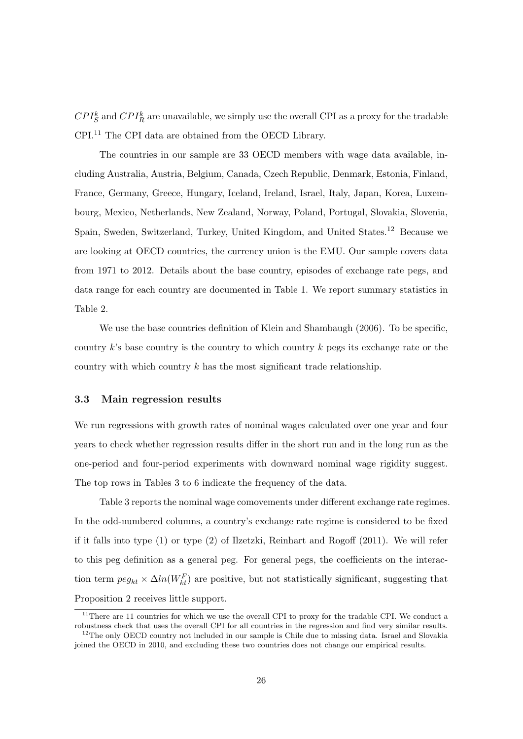$CPI_S^k$  and  $CPI_R^k$  are unavailable, we simply use the overall CPI as a proxy for the tradable CPI.<sup>11</sup> The CPI data are obtained from the OECD Library.

The countries in our sample are 33 OECD members with wage data available, including Australia, Austria, Belgium, Canada, Czech Republic, Denmark, Estonia, Finland, France, Germany, Greece, Hungary, Iceland, Ireland, Israel, Italy, Japan, Korea, Luxembourg, Mexico, Netherlands, New Zealand, Norway, Poland, Portugal, Slovakia, Slovenia, Spain, Sweden, Switzerland, Turkey, United Kingdom, and United States.<sup>12</sup> Because we are looking at OECD countries, the currency union is the EMU. Our sample covers data from 1971 to 2012. Details about the base country, episodes of exchange rate pegs, and data range for each country are documented in Table 1. We report summary statistics in Table 2.

We use the base countries definition of Klein and Shambaugh (2006). To be specific, country *k*'s base country is the country to which country *k* pegs its exchange rate or the country with which country *k* has the most significant trade relationship.

#### **3.3 Main regression results**

We run regressions with growth rates of nominal wages calculated over one year and four years to check whether regression results differ in the short run and in the long run as the one-period and four-period experiments with downward nominal wage rigidity suggest. The top rows in Tables 3 to 6 indicate the frequency of the data.

Table 3 reports the nominal wage comovements under different exchange rate regimes. In the odd-numbered columns, a country's exchange rate regime is considered to be fixed if it falls into type (1) or type (2) of Ilzetzki, Reinhart and Rogoff (2011). We will refer to this peg definition as a general peg. For general pegs, the coefficients on the interaction term  $\text{pe}g_{kt} \times \Delta \ln(W_{kt}^F)$  are positive, but not statistically significant, suggesting that Proposition 2 receives little support.

 $11$ <sup>11</sup>There are 11 countries for which we use the overall CPI to proxy for the tradable CPI. We conduct a robustness check that uses the overall CPI for all countries in the regression and find very similar results.  $12$ The only OECD country not included in our sample is Chile due to missing data. Israel and Slovakia

joined the OECD in 2010, and excluding these two countries does not change our empirical results.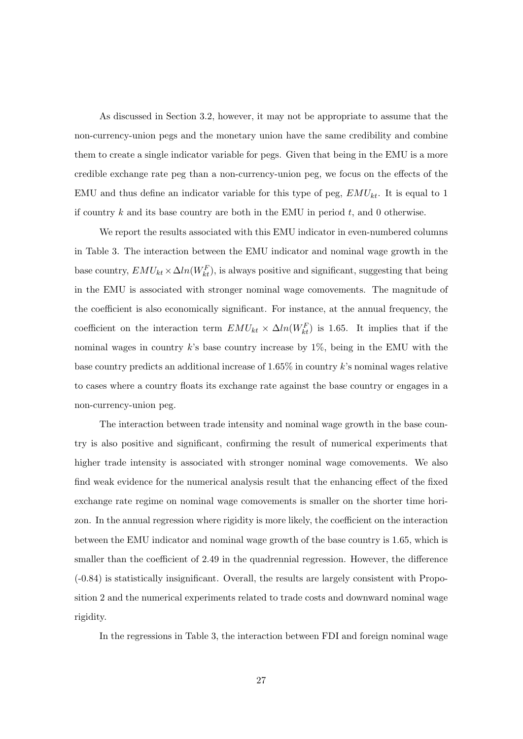As discussed in Section 3.2, however, it may not be appropriate to assume that the non-currency-union pegs and the monetary union have the same credibility and combine them to create a single indicator variable for pegs. Given that being in the EMU is a more credible exchange rate peg than a non-currency-union peg, we focus on the effects of the EMU and thus define an indicator variable for this type of peg, *EMUkt*. It is equal to 1 if country *k* and its base country are both in the EMU in period *t*, and 0 otherwise.

We report the results associated with this EMU indicator in even-numbered columns in Table 3. The interaction between the EMU indicator and nominal wage growth in the base country,  $EMU_{kt} \times \Delta ln(W_{kt}^F)$ , is always positive and significant, suggesting that being in the EMU is associated with stronger nominal wage comovements. The magnitude of the coefficient is also economically significant. For instance, at the annual frequency, the coefficient on the interaction term  $EMU_{kt} \times \Delta ln(W_{kt}^F)$  is 1.65. It implies that if the nominal wages in country *k*'s base country increase by 1%, being in the EMU with the base country predicts an additional increase of 1*.*65% in country *k*'s nominal wages relative to cases where a country floats its exchange rate against the base country or engages in a non-currency-union peg.

The interaction between trade intensity and nominal wage growth in the base country is also positive and significant, confirming the result of numerical experiments that higher trade intensity is associated with stronger nominal wage comovements. We also find weak evidence for the numerical analysis result that the enhancing effect of the fixed exchange rate regime on nominal wage comovements is smaller on the shorter time horizon. In the annual regression where rigidity is more likely, the coefficient on the interaction between the EMU indicator and nominal wage growth of the base country is 1.65, which is smaller than the coefficient of 2.49 in the quadrennial regression. However, the difference (-0.84) is statistically insignificant. Overall, the results are largely consistent with Proposition 2 and the numerical experiments related to trade costs and downward nominal wage rigidity.

In the regressions in Table 3, the interaction between FDI and foreign nominal wage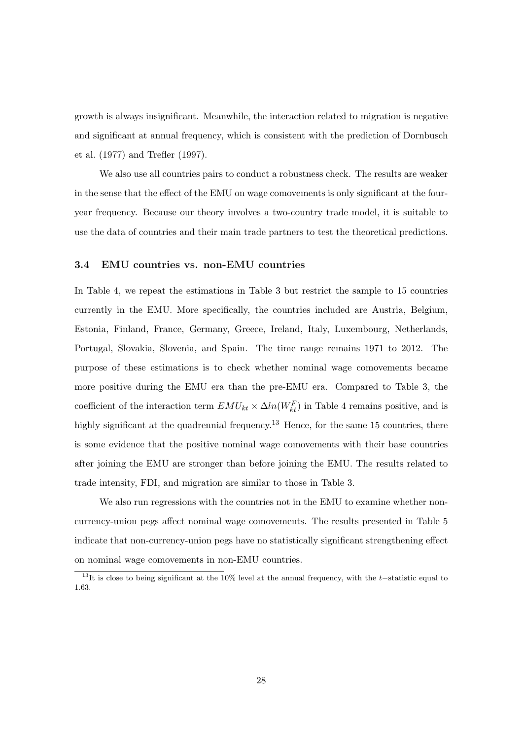growth is always insignificant. Meanwhile, the interaction related to migration is negative and significant at annual frequency, which is consistent with the prediction of Dornbusch et al. (1977) and Trefler (1997).

We also use all countries pairs to conduct a robustness check. The results are weaker in the sense that the effect of the EMU on wage comovements is only significant at the fouryear frequency. Because our theory involves a two-country trade model, it is suitable to use the data of countries and their main trade partners to test the theoretical predictions.

#### **3.4 EMU countries vs. non-EMU countries**

In Table 4, we repeat the estimations in Table 3 but restrict the sample to 15 countries currently in the EMU. More specifically, the countries included are Austria, Belgium, Estonia, Finland, France, Germany, Greece, Ireland, Italy, Luxembourg, Netherlands, Portugal, Slovakia, Slovenia, and Spain. The time range remains 1971 to 2012. The purpose of these estimations is to check whether nominal wage comovements became more positive during the EMU era than the pre-EMU era. Compared to Table 3, the coefficient of the interaction term  $EMU_{kt} \times \Delta ln(W_{kt}^F)$  in Table 4 remains positive, and is highly significant at the quadrennial frequency.<sup>13</sup> Hence, for the same 15 countries, there is some evidence that the positive nominal wage comovements with their base countries after joining the EMU are stronger than before joining the EMU. The results related to trade intensity, FDI, and migration are similar to those in Table 3.

We also run regressions with the countries not in the EMU to examine whether noncurrency-union pegs affect nominal wage comovements. The results presented in Table 5 indicate that non-currency-union pegs have no statistically significant strengthening effect on nominal wage comovements in non-EMU countries.

<sup>13</sup>It is close to being significant at the 10% level at the annual frequency, with the *<sup>t</sup>−*statistic equal to 1.63.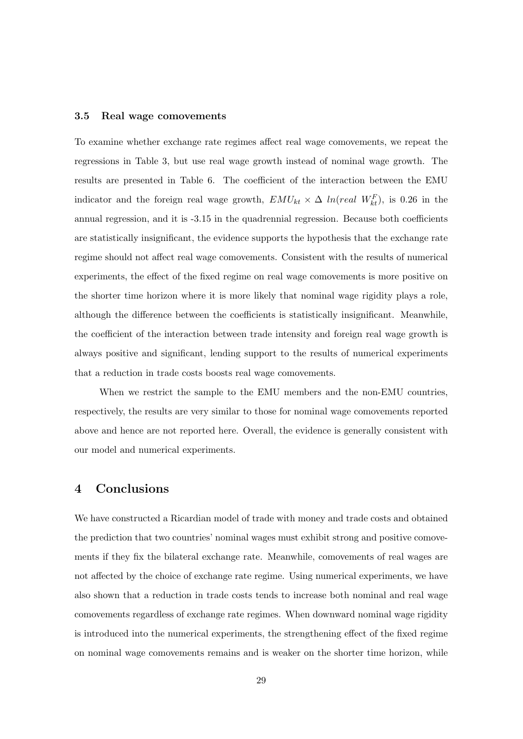#### **3.5 Real wage comovements**

To examine whether exchange rate regimes affect real wage comovements, we repeat the regressions in Table 3, but use real wage growth instead of nominal wage growth. The results are presented in Table 6. The coefficient of the interaction between the EMU indicator and the foreign real wage growth,  $EMU_{kt} \times \Delta \ ln (real \ W_{kt}^F)$ , is 0.26 in the annual regression, and it is -3.15 in the quadrennial regression. Because both coefficients are statistically insignificant, the evidence supports the hypothesis that the exchange rate regime should not affect real wage comovements. Consistent with the results of numerical experiments, the effect of the fixed regime on real wage comovements is more positive on the shorter time horizon where it is more likely that nominal wage rigidity plays a role, although the difference between the coefficients is statistically insignificant. Meanwhile, the coefficient of the interaction between trade intensity and foreign real wage growth is always positive and significant, lending support to the results of numerical experiments that a reduction in trade costs boosts real wage comovements.

When we restrict the sample to the EMU members and the non-EMU countries, respectively, the results are very similar to those for nominal wage comovements reported above and hence are not reported here. Overall, the evidence is generally consistent with our model and numerical experiments.

## **4 Conclusions**

We have constructed a Ricardian model of trade with money and trade costs and obtained the prediction that two countries' nominal wages must exhibit strong and positive comovements if they fix the bilateral exchange rate. Meanwhile, comovements of real wages are not affected by the choice of exchange rate regime. Using numerical experiments, we have also shown that a reduction in trade costs tends to increase both nominal and real wage comovements regardless of exchange rate regimes. When downward nominal wage rigidity is introduced into the numerical experiments, the strengthening effect of the fixed regime on nominal wage comovements remains and is weaker on the shorter time horizon, while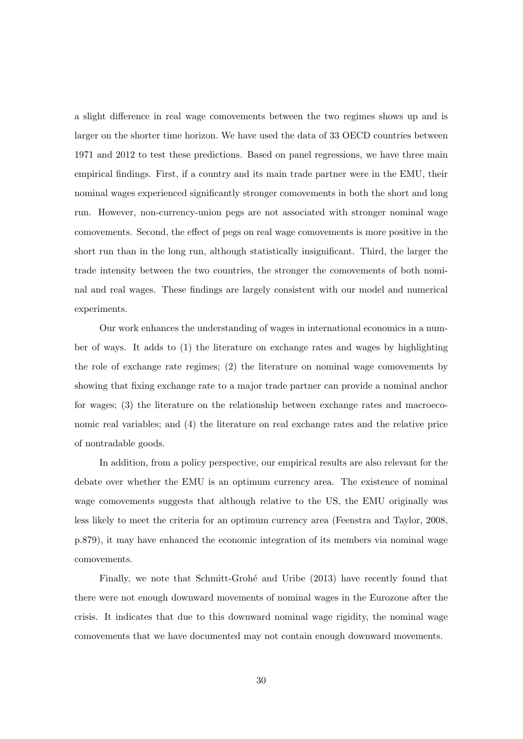a slight difference in real wage comovements between the two regimes shows up and is larger on the shorter time horizon. We have used the data of 33 OECD countries between 1971 and 2012 to test these predictions. Based on panel regressions, we have three main empirical findings. First, if a country and its main trade partner were in the EMU, their nominal wages experienced significantly stronger comovements in both the short and long run. However, non-currency-union pegs are not associated with stronger nominal wage comovements. Second, the effect of pegs on real wage comovements is more positive in the short run than in the long run, although statistically insignificant. Third, the larger the trade intensity between the two countries, the stronger the comovements of both nominal and real wages. These findings are largely consistent with our model and numerical experiments.

Our work enhances the understanding of wages in international economics in a number of ways. It adds to (1) the literature on exchange rates and wages by highlighting the role of exchange rate regimes; (2) the literature on nominal wage comovements by showing that fixing exchange rate to a major trade partner can provide a nominal anchor for wages; (3) the literature on the relationship between exchange rates and macroeconomic real variables; and (4) the literature on real exchange rates and the relative price of nontradable goods.

In addition, from a policy perspective, our empirical results are also relevant for the debate over whether the EMU is an optimum currency area. The existence of nominal wage comovements suggests that although relative to the US, the EMU originally was less likely to meet the criteria for an optimum currency area (Feenstra and Taylor, 2008, p.879), it may have enhanced the economic integration of its members via nominal wage comovements.

Finally, we note that Schmitt-Grohé and Uribe (2013) have recently found that there were not enough downward movements of nominal wages in the Eurozone after the crisis. It indicates that due to this downward nominal wage rigidity, the nominal wage comovements that we have documented may not contain enough downward movements.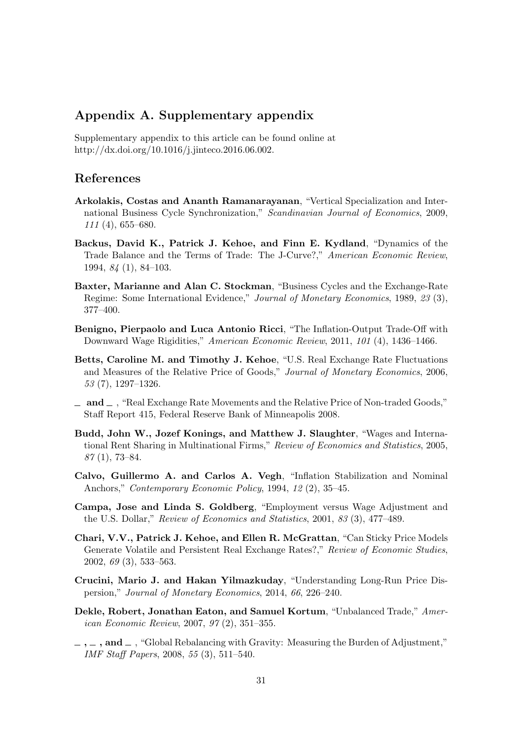## **Appendix A. Supplementary appendix**

Supplementary appendix to this article can be found online at http://dx.doi.org/10.1016/j.jinteco.2016.06.002.

## **References**

- **Arkolakis, Costas and Ananth Ramanarayanan**, "Vertical Specialization and International Business Cycle Synchronization," *Scandinavian Journal of Economics*, 2009, *111* (4), 655–680.
- **Backus, David K., Patrick J. Kehoe, and Finn E. Kydland**, "Dynamics of the Trade Balance and the Terms of Trade: The J-Curve?," *American Economic Review*, 1994, *84* (1), 84–103.
- **Baxter, Marianne and Alan C. Stockman**, "Business Cycles and the Exchange-Rate Regime: Some International Evidence," *Journal of Monetary Economics*, 1989, *23* (3), 377–400.
- **Benigno, Pierpaolo and Luca Antonio Ricci**, "The Inflation-Output Trade-Off with Downward Wage Rigidities," *American Economic Review*, 2011, *101* (4), 1436–1466.
- **Betts, Caroline M. and Timothy J. Kehoe**, "U.S. Real Exchange Rate Fluctuations and Measures of the Relative Price of Goods," *Journal of Monetary Economics*, 2006, *53* (7), 1297–1326.
- **and** , "Real Exchange Rate Movements and the Relative Price of Non-traded Goods," Staff Report 415, Federal Reserve Bank of Minneapolis 2008.
- **Budd, John W., Jozef Konings, and Matthew J. Slaughter**, "Wages and International Rent Sharing in Multinational Firms," *Review of Economics and Statistics*, 2005, *87* (1), 73–84.
- **Calvo, Guillermo A. and Carlos A. Vegh**, "Inflation Stabilization and Nominal Anchors," *Contemporary Economic Policy*, 1994, *12* (2), 35–45.
- **Campa, Jose and Linda S. Goldberg**, "Employment versus Wage Adjustment and the U.S. Dollar," *Review of Economics and Statistics*, 2001, *83* (3), 477–489.
- **Chari, V.V., Patrick J. Kehoe, and Ellen R. McGrattan**, "Can Sticky Price Models Generate Volatile and Persistent Real Exchange Rates?," *Review of Economic Studies*, 2002, *69* (3), 533–563.
- **Crucini, Mario J. and Hakan Yilmazkuday**, "Understanding Long-Run Price Dispersion," *Journal of Monetary Economics*, 2014, *66*, 226–240.
- **Dekle, Robert, Jonathan Eaton, and Samuel Kortum**, "Unbalanced Trade," *American Economic Review*, 2007, *97* (2), 351–355.
- $\lambda$ , **and** , "Global Rebalancing with Gravity: Measuring the Burden of Adjustment," *IMF Staff Papers*, 2008, *55* (3), 511–540.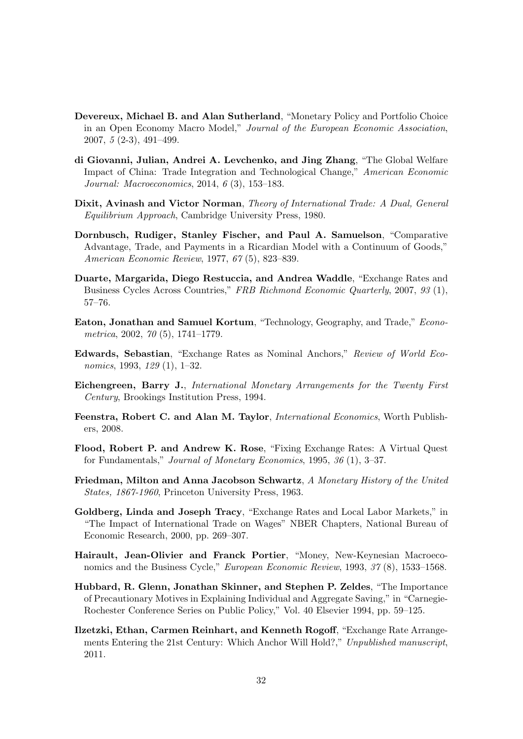- **Devereux, Michael B. and Alan Sutherland**, "Monetary Policy and Portfolio Choice in an Open Economy Macro Model," *Journal of the European Economic Association*, 2007, *5* (2-3), 491–499.
- **di Giovanni, Julian, Andrei A. Levchenko, and Jing Zhang**, "The Global Welfare Impact of China: Trade Integration and Technological Change," *American Economic Journal: Macroeconomics*, 2014, *6* (3), 153–183.
- **Dixit, Avinash and Victor Norman**, *Theory of International Trade: A Dual, General Equilibrium Approach*, Cambridge University Press, 1980.
- **Dornbusch, Rudiger, Stanley Fischer, and Paul A. Samuelson**, "Comparative Advantage, Trade, and Payments in a Ricardian Model with a Continuum of Goods," *American Economic Review*, 1977, *67* (5), 823–839.
- **Duarte, Margarida, Diego Restuccia, and Andrea Waddle**, "Exchange Rates and Business Cycles Across Countries," *FRB Richmond Economic Quarterly*, 2007, *93* (1), 57–76.
- **Eaton, Jonathan and Samuel Kortum**, "Technology, Geography, and Trade," *Econometrica*, 2002, *70* (5), 1741–1779.
- **Edwards, Sebastian**, "Exchange Rates as Nominal Anchors," *Review of World Economics*, 1993, *129* (1), 1–32.
- **Eichengreen, Barry J.**, *International Monetary Arrangements for the Twenty First Century*, Brookings Institution Press, 1994.
- **Feenstra, Robert C. and Alan M. Taylor**, *International Economics*, Worth Publishers, 2008.
- **Flood, Robert P. and Andrew K. Rose**, "Fixing Exchange Rates: A Virtual Quest for Fundamentals," *Journal of Monetary Economics*, 1995, *36* (1), 3–37.
- **Friedman, Milton and Anna Jacobson Schwartz**, *A Monetary History of the United States, 1867-1960*, Princeton University Press, 1963.
- **Goldberg, Linda and Joseph Tracy**, "Exchange Rates and Local Labor Markets," in "The Impact of International Trade on Wages" NBER Chapters, National Bureau of Economic Research, 2000, pp. 269–307.
- **Hairault, Jean-Olivier and Franck Portier**, "Money, New-Keynesian Macroeconomics and the Business Cycle," *European Economic Review*, 1993, *37* (8), 1533–1568.
- **Hubbard, R. Glenn, Jonathan Skinner, and Stephen P. Zeldes**, "The Importance of Precautionary Motives in Explaining Individual and Aggregate Saving," in "Carnegie-Rochester Conference Series on Public Policy," Vol. 40 Elsevier 1994, pp. 59–125.
- **Ilzetzki, Ethan, Carmen Reinhart, and Kenneth Rogoff**, "Exchange Rate Arrangements Entering the 21st Century: Which Anchor Will Hold?," *Unpublished manuscript*, 2011.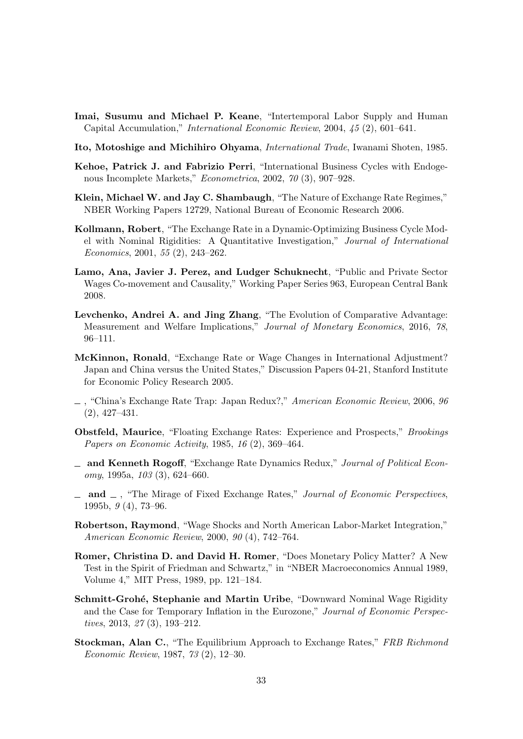- **Imai, Susumu and Michael P. Keane**, "Intertemporal Labor Supply and Human Capital Accumulation," *International Economic Review*, 2004, *45* (2), 601–641.
- **Ito, Motoshige and Michihiro Ohyama**, *International Trade*, Iwanami Shoten, 1985.
- **Kehoe, Patrick J. and Fabrizio Perri**, "International Business Cycles with Endogenous Incomplete Markets," *Econometrica*, 2002, *70* (3), 907–928.
- **Klein, Michael W. and Jay C. Shambaugh**, "The Nature of Exchange Rate Regimes," NBER Working Papers 12729, National Bureau of Economic Research 2006.
- **Kollmann, Robert**, "The Exchange Rate in a Dynamic-Optimizing Business Cycle Model with Nominal Rigidities: A Quantitative Investigation," *Journal of International Economics*, 2001, *55* (2), 243–262.
- **Lamo, Ana, Javier J. Perez, and Ludger Schuknecht**, "Public and Private Sector Wages Co-movement and Causality," Working Paper Series 963, European Central Bank 2008.
- **Levchenko, Andrei A. and Jing Zhang**, "The Evolution of Comparative Advantage: Measurement and Welfare Implications," *Journal of Monetary Economics*, 2016, *78*, 96–111.
- **McKinnon, Ronald**, "Exchange Rate or Wage Changes in International Adjustment? Japan and China versus the United States," Discussion Papers 04-21, Stanford Institute for Economic Policy Research 2005.
- , "China's Exchange Rate Trap: Japan Redux?," *American Economic Review*, 2006, *96* (2), 427–431.
- **Obstfeld, Maurice**, "Floating Exchange Rates: Experience and Prospects," *Brookings Papers on Economic Activity*, 1985, *16* (2), 369–464.
- **and Kenneth Rogoff**, "Exchange Rate Dynamics Redux," *Journal of Political Economy*, 1995a, *103* (3), 624–660.
- **and** , "The Mirage of Fixed Exchange Rates," *Journal of Economic Perspectives*, 1995b, *9* (4), 73–96.
- **Robertson, Raymond**, "Wage Shocks and North American Labor-Market Integration," *American Economic Review*, 2000, *90* (4), 742–764.
- **Romer, Christina D. and David H. Romer**, "Does Monetary Policy Matter? A New Test in the Spirit of Friedman and Schwartz," in "NBER Macroeconomics Annual 1989, Volume 4," MIT Press, 1989, pp. 121–184.
- **Schmitt-Grohé, Stephanie and Martin Uribe**, "Downward Nominal Wage Rigidity and the Case for Temporary Inflation in the Eurozone," *Journal of Economic Perspectives*, 2013, *27* (3), 193–212.
- **Stockman, Alan C.**, "The Equilibrium Approach to Exchange Rates," *FRB Richmond Economic Review*, 1987, *73* (2), 12–30.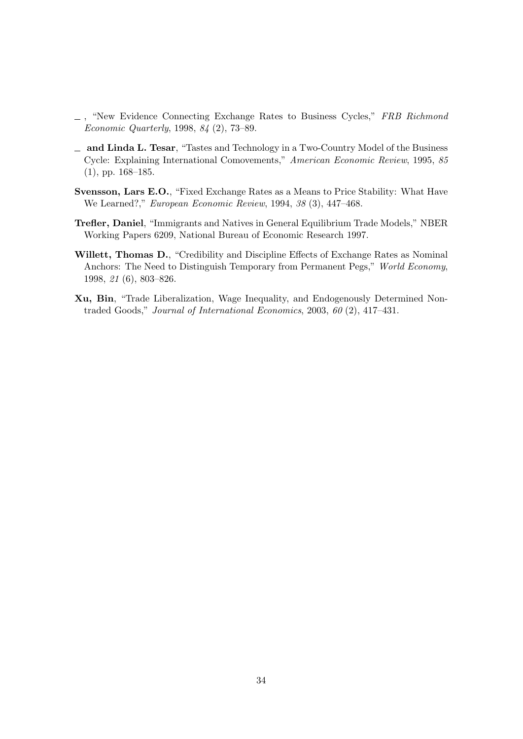- , "New Evidence Connecting Exchange Rates to Business Cycles," *FRB Richmond Economic Quarterly*, 1998, *84* (2), 73–89.
- **and Linda L. Tesar**, "Tastes and Technology in a Two-Country Model of the Business Cycle: Explaining International Comovements," *American Economic Review*, 1995, *85* (1), pp. 168–185.
- **Svensson, Lars E.O.**, "Fixed Exchange Rates as a Means to Price Stability: What Have We Learned?," *European Economic Review*, 1994, *38* (3), 447–468.
- **Trefler, Daniel**, "Immigrants and Natives in General Equilibrium Trade Models," NBER Working Papers 6209, National Bureau of Economic Research 1997.
- **Willett, Thomas D.**, "Credibility and Discipline Effects of Exchange Rates as Nominal Anchors: The Need to Distinguish Temporary from Permanent Pegs," *World Economy*, 1998, *21* (6), 803–826.
- **Xu, Bin**, "Trade Liberalization, Wage Inequality, and Endogenously Determined Nontraded Goods," *Journal of International Economics*, 2003, *60* (2), 417–431.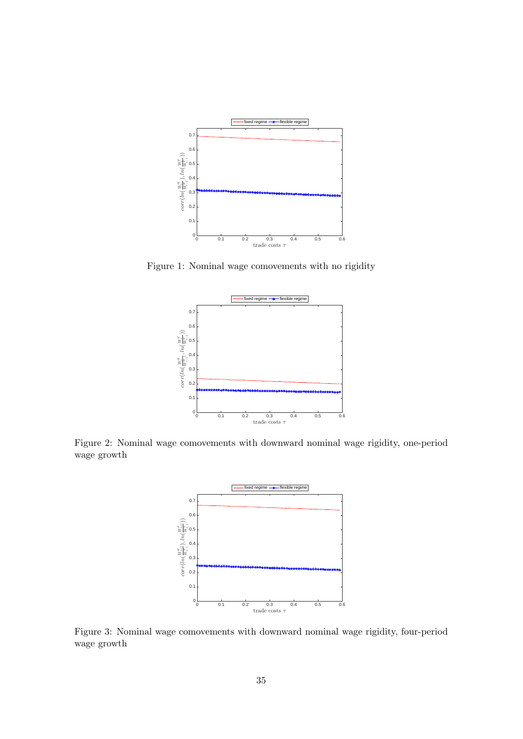

Figure 1: Nominal wage comovements with no rigidity



Figure 2: Nominal wage comovements with downward nominal wage rigidity, one-period wage growth



Figure 3: Nominal wage comovements with downward nominal wage rigidity, four-period wage growth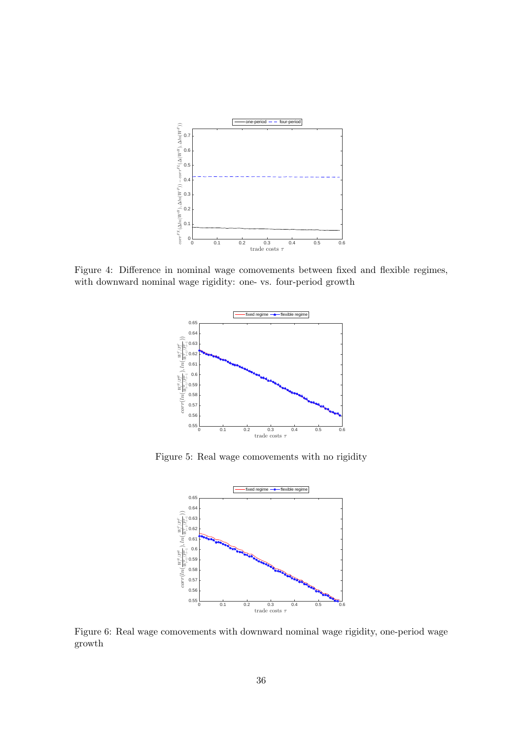

Figure 4: Difference in nominal wage comovements between fixed and flexible regimes, with downward nominal wage rigidity: one- vs. four-period growth



Figure 5: Real wage comovements with no rigidity



Figure 6: Real wage comovements with downward nominal wage rigidity, one-period wage growth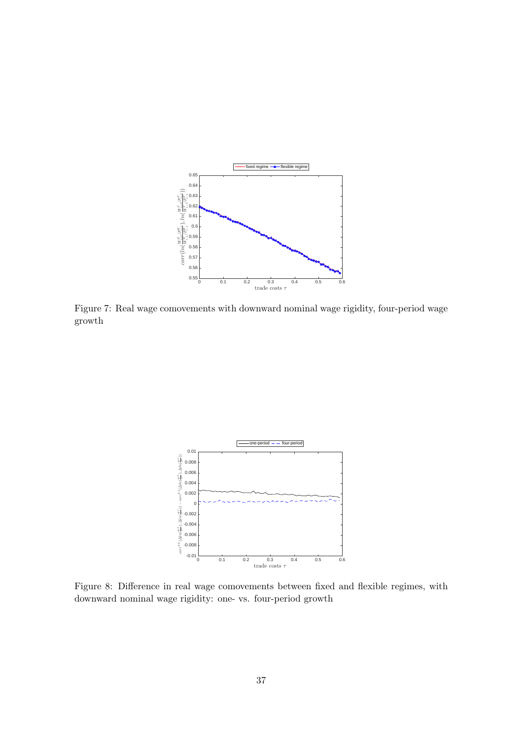

Figure 7: Real wage comovements with downward nominal wage rigidity, four-period wage growth



Figure 8: Difference in real wage comovements between fixed and flexible regimes, with downward nominal wage rigidity: one- vs. four-period growth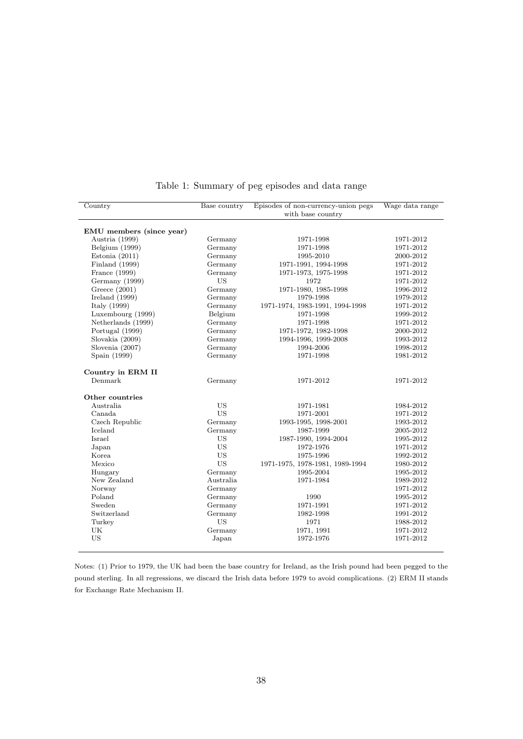| Country                  | Base country | Episodes of non-currency-union pegs<br>Wage data range |           |  |
|--------------------------|--------------|--------------------------------------------------------|-----------|--|
|                          |              | with base country                                      |           |  |
| EMU members (since year) |              |                                                        |           |  |
| Austria (1999)           | Germany      | 1971-1998                                              | 1971-2012 |  |
| Belgium (1999)           | Germany      | 1971-1998                                              | 1971-2012 |  |
| Estonia $(2011)$         | Germany      | 1995-2010                                              | 2000-2012 |  |
| Finland (1999)           | Germany      | 1971-1991, 1994-1998                                   | 1971-2012 |  |
| France (1999)            | Germany      | 1971-1973, 1975-1998                                   | 1971-2012 |  |
| Germany (1999)           | <b>US</b>    | 1972                                                   | 1971-2012 |  |
| Greece (2001)            | Germany      | 1971-1980, 1985-1998                                   | 1996-2012 |  |
| Ireland $(1999)$         | Germany      | 1979-1998                                              | 1979-2012 |  |
| Italy $(1999)$           | Germany      | 1971-1974, 1983-1991, 1994-1998                        | 1971-2012 |  |
| Luxembourg (1999)        | Belgium      | 1971-1998                                              | 1999-2012 |  |
| Netherlands (1999)       | Germany      | 1971-1998                                              | 1971-2012 |  |
| Portugal (1999)          | Germany      | 1971-1972, 1982-1998                                   | 2000-2012 |  |
| Slovakia (2009)          | Germany      | 1994-1996, 1999-2008                                   | 1993-2012 |  |
| Slovenia (2007)          | Germany      | 1994-2006                                              | 1998-2012 |  |
| Spain (1999)             | Germany      | 1971-1998                                              | 1981-2012 |  |
|                          |              |                                                        |           |  |
| Country in ERM II        |              |                                                        |           |  |
| Denmark                  | Germany      | 1971-2012                                              | 1971-2012 |  |
|                          |              |                                                        |           |  |
| Other countries          |              |                                                        |           |  |
| Australia                | <b>US</b>    | 1971-1981                                              | 1984-2012 |  |
| Canada                   | <b>US</b>    | 1971-2001                                              | 1971-2012 |  |
| Czech Republic           | Germany      | 1993-1995, 1998-2001                                   | 1993-2012 |  |
| Iceland                  | Germany      | 1987-1999                                              | 2005-2012 |  |
| Israel                   | US           | 1987-1990, 1994-2004                                   | 1995-2012 |  |
| Japan                    | <b>US</b>    | 1972-1976                                              | 1971-2012 |  |
| Korea                    | <b>US</b>    | 1975-1996                                              | 1992-2012 |  |
| Mexico                   | <b>US</b>    | 1971-1975, 1978-1981, 1989-1994                        | 1980-2012 |  |
| Hungary                  | Germany      | 1995-2004                                              | 1995-2012 |  |
| New Zealand              | Australia    | 1971-1984                                              | 1989-2012 |  |
| Norway                   | Germany      |                                                        | 1971-2012 |  |
| Poland                   | Germany      | 1990                                                   | 1995-2012 |  |
| Sweden                   | Germany      | 1971-1991                                              | 1971-2012 |  |
| Switzerland              | Germany      | 1982-1998                                              | 1991-2012 |  |
| Turkey                   | <b>US</b>    | 1971                                                   | 1988-2012 |  |
| UK                       | Germany      | 1971, 1991                                             | 1971-2012 |  |
| <b>US</b>                | Japan        | 1972-1976                                              | 1971-2012 |  |
|                          |              |                                                        |           |  |

#### Table 1: Summary of peg episodes and data range

Notes: (1) Prior to 1979, the UK had been the base country for Ireland, as the Irish pound had been pegged to the pound sterling. In all regressions, we discard the Irish data before 1979 to avoid complications. (2) ERM II stands for Exchange Rate Mechanism II.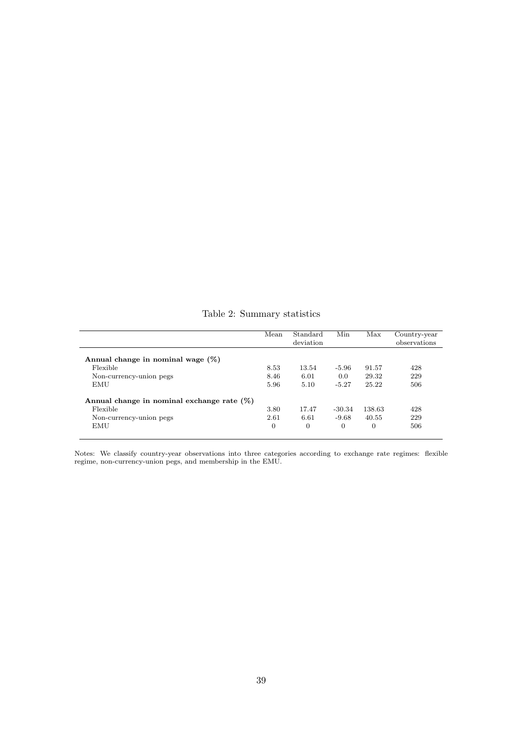Table 2: Summary statistics

|                                               | Mean     | Standard<br>deviation | Min           | Max      | Country-year<br>observations |
|-----------------------------------------------|----------|-----------------------|---------------|----------|------------------------------|
| Annual change in nominal wage $(\%)$          |          |                       |               |          |                              |
| Flexible                                      | 8.53     | 13.54                 | $-5.96$       | 91.57    | 428                          |
| Non-currency-union pegs                       | 8.46     | 6.01                  | $0.0^{\circ}$ | 29.32    | 229                          |
| <b>EMU</b>                                    | 5.96     | 5.10                  | $-5.27$       | 25.22    | 506                          |
| Annual change in nominal exchange rate $(\%)$ |          |                       |               |          |                              |
| Flexible                                      | 3.80     | 17.47                 | $-30.34$      | 138.63   | 428                          |
| Non-currency-union pegs                       | 2.61     | 6.61                  | $-9.68$       | 40.55    | 229                          |
| <b>EMU</b>                                    | $\theta$ | $\Omega$              | $\theta$      | $\theta$ | 506                          |

Notes: We classify country-year observations into three categories according to exchange rate regimes: flexible regime, non-currency-union pegs, and membership in the EMU.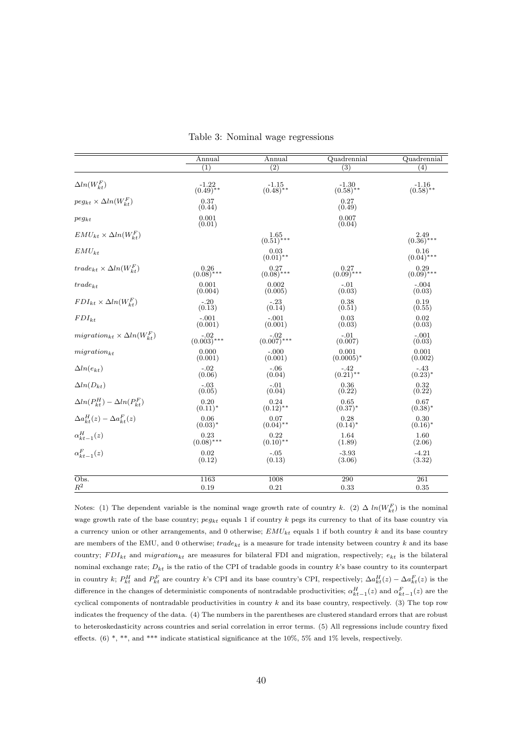|                                             | Annual                            | Annual                | Quadrennial            | Quadrennial                 |
|---------------------------------------------|-----------------------------------|-----------------------|------------------------|-----------------------------|
|                                             | (1)                               | $\overline{(2)}$      | $\overline{(3)}$       | (4)                         |
| $\Delta ln(W_{kt}^F)$                       | $-1.22$<br>$(0.49)$ <sup>**</sup> | -1.15<br>$(0.48)$ **  | $-1.30$<br>$(0.58)$ ** | $\frac{-1.16}{(0.58)^{**}}$ |
| $peg_{kt} \times \Delta ln(W_{kt}^F)$       | 0.37<br>(0.44)                    |                       | 0.27<br>(0.49)         |                             |
| $peg_{kt}$                                  | 0.001<br>(0.01)                   |                       | 0.007<br>(0.04)        |                             |
| $EMU_{kt} \times \Delta ln(W_{kt}^F)$       |                                   | $(0.51)$ ***          |                        | $(0.36)$ ***                |
| $EMU_{kt}$                                  |                                   | 0.03<br>$(0.01)$ **   |                        | 0.16<br>$(0.04)$ ***        |
| $trade_{kt} \times \Delta ln(W_{t}^F)$      | 0.26<br>$(0.08)$ ***              | 0.27<br>$(0.08)$ ***  | 0.27<br>$(0.09)$ ***   | 0.29<br>$(0.09)$ ***        |
| $trade_{kt}$                                | 0.001<br>(0.004)                  | 0.002<br>(0.005)      | $-.01$<br>(0.03)       | $-.004$<br>(0.03)           |
| $FDI_{kt} \times \Delta ln(W_{kt}^F)$       | $-.20$<br>(0.13)                  | $-.23$<br>(0.14)      | 0.38<br>(0.51)         | 0.19<br>(0.55)              |
| $FDI_{kt}$                                  | $-.001$<br>(0.001)                | $-.001$<br>(0.001)    | 0.03<br>(0.03)         | 0.02<br>(0.03)              |
| $migration_{kt} \times \Delta ln(W_{kt}^F)$ | $-0.02$<br>(0.003)***             | $-0.02$<br>(0.007)*** | $-.01$<br>(0.007)      | $-.001$<br>(0.03)           |
| $migration_{kt}$                            | 0.000<br>(0.001)                  | $-.000$<br>(0.001)    | 0.001<br>$(0.0005)^*$  | 0.001<br>(0.002)            |
| $\Delta ln(e_{kt})$                         | $-.02$<br>(0.06)                  | $-.06$<br>(0.04)      | $(0.21)$ **            | $-43$<br>$(0.23)^*$         |
| $\Delta ln(D_{kt})$                         | $-.03$<br>(0.05)                  | $-.01$<br>(0.04)      | 0.36<br>(0.22)         | 0.32<br>(0.22)              |
| $\Delta ln(P_{kt}^H) - \Delta ln(P_{kt}^F)$ | 0.20<br>$(0.11)^*$                | 0.24<br>$(0.12)$ **   | 0.65<br>$(0.37)^{*}$   | 0.67<br>$(0.38)^*$          |
| $\Delta a_{kt}^H(z) - \Delta a_{kt}^F(z)$   | 0.06<br>$(0.03)^*$                | 0.07<br>$(0.04)$ **   | 0.28<br>$(0.14)^*$     | 0.30<br>$(0.16)^*$          |
| $\alpha_{kt-1}^H(z)$                        | 0.23<br>$(0.08)$ ***              | 0.22<br>$(0.10)$ **   | 1.64<br>(1.89)         | 1.60<br>(2.06)              |
| $\alpha_{kt-1}^{F}(z)$                      | 0.02<br>(0.12)                    | $-.05$<br>(0.13)      | $-3.93$<br>(3.06)      | $-4.21$<br>(3.32)           |
| $\overline{\mathrm{Obs}}$ .                 | 1163                              | 1008                  | 290                    | 261                         |
| $\mathbb{R}^2$                              | 0.19                              | 0.21                  | 0.33                   | 0.35                        |

Table 3: Nominal wage regressions

Notes: (1) The dependent variable is the nominal wage growth rate of country *k*. (2)  $\Delta ln(W_{kt}^F)$  is the nominal wage growth rate of the base country;  $peg_{kt}$  equals 1 if country  $k$  pegs its currency to that of its base country via a currency union or other arrangements, and 0 otherwise; *EMUkt* equals 1 if both country *k* and its base country are members of the EMU, and 0 otherwise;  $trade_{kt}$  is a measure for trade intensity between country  $k$  and its base country;  $FDI_{kt}$  and  $migration_{kt}$  are measures for bilateral FDI and migration, respectively;  $e_{kt}$  is the bilateral nominal exchange rate;  $D_{kt}$  is the ratio of the CPI of tradable goods in country  $k$ 's base country to its counterpart in country k;  $P_{kt}^H$  and  $P_{kt}^F$  are country k's CPI and its base country's CPI, respectively;  $\Delta a_{kt}^H(z) - \Delta a_{kt}^F(z)$  is the difference in the changes of deterministic components of nontradable productivities;  $\alpha_{kt-1}^H(z)$  and  $\alpha_{kt-1}^F(z)$  are the cyclical components of nontradable productivities in country *k* and its base country, respectively. (3) The top row indicates the frequency of the data. (4) The numbers in the parentheses are clustered standard errors that are robust to heteroskedasticity across countries and serial correlation in error terms. (5) All regressions include country fixed effects.  $(6)$ <sup>\*</sup>, \*\*, and \*\*\* indicate statistical significance at the 10%, 5% and 1% levels, respectively.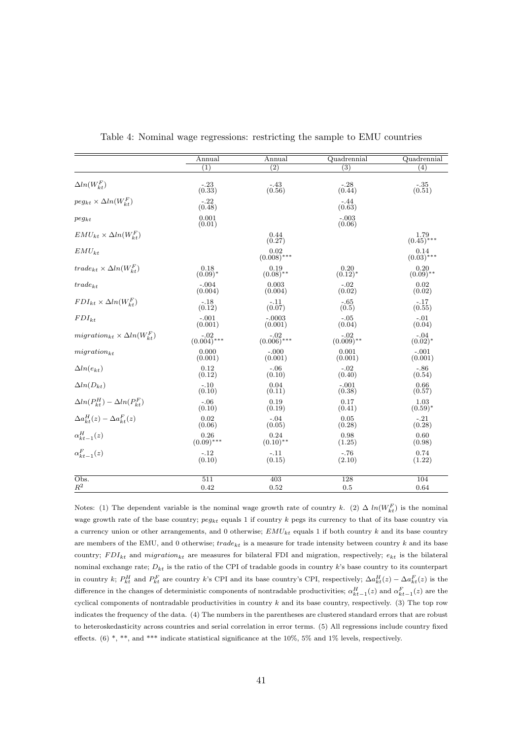|                                             | Annual                | Annual                   | Quadrennial       | Quadrennial              |
|---------------------------------------------|-----------------------|--------------------------|-------------------|--------------------------|
|                                             | (1)                   | (2)                      | (3)               | (4)                      |
| $\Delta ln(W_{kt}^F)$                       | $-.23$                | $-.43$                   | $-.28$            | $-.35$                   |
|                                             | (0.33)                | (0.56)                   | (0.44)            | (0.51)                   |
| $peg_{kt} \times \Delta ln(W_{k}^F)$        | $-.22$<br>(0.48)      |                          | $-.44$<br>(0.63)  |                          |
| $peg_{kt}$                                  | 0.001<br>(0.01)       |                          | $-.003$<br>(0.06) |                          |
| $EMU_{kt} \times \Delta ln(W_{kt}^F)$       |                       | 0.44<br>(0.27)           |                   | $\frac{1.79}{(0.45)***}$ |
| $EMU_{kt}$                                  |                       | $(0.02$<br>$(0.008)$ *** |                   | 0.14<br>$(0.03)$ ***     |
| $trade_{kt} \times \Delta ln(W_{kt}^F)$     | 0.18                  | 0.19                     | 0.20              | 0.20                     |
|                                             | $(0.09)*$             | $(0.08)$ **              | $(0.12)^{*}$      | $(0.09)$ **              |
| $trade_{kt}$                                | $-.004$               | 0.003                    | $-.02$            | 0.02                     |
|                                             | (0.004)               | (0.004)                  | (0.02)            | (0.02)                   |
| $FDI_{kt} \times \Delta ln(W_{kt}^F)$       | $-.18$                | $-.11$                   | $-.65$            | $-.17$                   |
|                                             | (0.12)                | (0.07)                   | (0.5)             | (0.55)                   |
| $FDI_{kt}$                                  | $-.001$               | $-.0003$                 | $-.05$            | $-.01$                   |
|                                             | (0.001)               | (0.001)                  | (0.04)            | (0.04)                   |
| $migration_{kt} \times \Delta ln(W_{kt}^F)$ | $-0.02$<br>(0.004)*** | $-0.02$<br>(0.006)***    | $(-0.009)$ **     | $-.04$<br>$(0.02)^*$     |
| $migration_{kt}$                            | 0.000                 | $-.000$                  | 0.001             | $-.001$                  |
|                                             | (0.001)               | (0.001)                  | (0.001)           | (0.001)                  |
| $\Delta ln(e_{kt})$                         | 0.12                  | $-.06$                   | $-.02$            | $-.86$                   |
|                                             | (0.12)                | (0.10)                   | (0.40)            | (0.54)                   |
| $\Delta ln(D_{kt})$                         | $-.10$                | 0.04                     | $-.001$           | 0.66                     |
|                                             | (0.10)                | (0.11)                   | (0.38)            | (0.57)                   |
| $\Delta ln(P_{k}^H) - \Delta ln(P_{k}^F)$   | $-.06$                | 0.19                     | 0.17              | 1.03                     |
|                                             | (0.10)                | (0.19)                   | (0.41)            | $(0.59)^*$               |
| $\Delta a_{kt}^H(z) - \Delta a_{kt}^F(z)$   | 0.02                  | $-.04$                   | 0.05              | $-.21$                   |
|                                             | (0.06)                | (0.05)                   | (0.28)            | (0.28)                   |
| $\alpha_{kt-1}^H(z)$                        | 0.26                  | 0.24                     | 0.98              | 0.60                     |
|                                             | $(0.09)$ ***          | $(0.10)$ **              | (1.25)            | (0.98)                   |
| $\alpha_{kt-1}^F(z)$                        | $-.12$                | $-.11$                   | $-.76$            | 0.74                     |
|                                             | (0.10)                | (0.15)                   | (2.10)            | (1.22)                   |
| $\overline{\mathrm{Obs}}$ .                 | 511                   | 403                      | 128               | 104                      |
| $\mathbb{R}^2$                              | 0.42                  | 0.52                     | 0.5               | 0.64                     |

Table 4: Nominal wage regressions: restricting the sample to EMU countries

Notes: (1) The dependent variable is the nominal wage growth rate of country *k*. (2)  $\Delta ln(W_{kt}^F)$  is the nominal wage growth rate of the base country;  $peg_{kt}$  equals 1 if country  $k$  pegs its currency to that of its base country via a currency union or other arrangements, and 0 otherwise; *EMUkt* equals 1 if both country *k* and its base country are members of the EMU, and 0 otherwise;  $trade_{kt}$  is a measure for trade intensity between country *k* and its base country;  $FDI_{kt}$  and  $migration_{kt}$  are measures for bilateral FDI and migration, respectively;  $e_{kt}$  is the bilateral nominal exchange rate;  $D_{kt}$  is the ratio of the CPI of tradable goods in country  $k$ 's base country to its counterpart in country k;  $P_{kt}^H$  and  $P_{kt}^F$  are country k's CPI and its base country's CPI, respectively;  $\Delta a_{kt}^H(z) - \Delta a_{kt}^F(z)$  is the difference in the changes of deterministic components of nontradable productivities;  $\alpha_{kt-1}^H(z)$  and  $\alpha_{kt-1}^F(z)$  are the cyclical components of nontradable productivities in country *k* and its base country, respectively. (3) The top row indicates the frequency of the data. (4) The numbers in the parentheses are clustered standard errors that are robust to heteroskedasticity across countries and serial correlation in error terms. (5) All regressions include country fixed effects.  $(6)$ <sup>\*</sup>, \*\*, and \*\*\* indicate statistical significance at the 10%, 5% and 1% levels, respectively.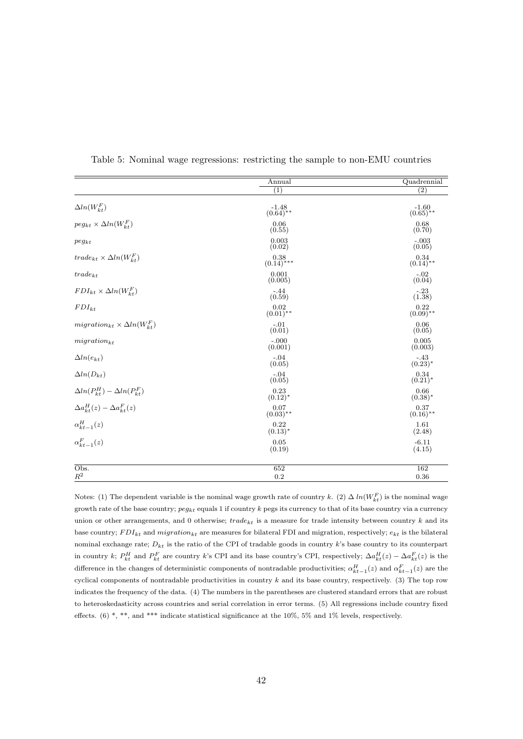|                                             | Annual                  | Quadrennial                  |
|---------------------------------------------|-------------------------|------------------------------|
|                                             | $\left(1\right)$        | $\overline{(2)}$             |
| $\Delta ln(W_{kt}^F)$                       | $-1.48$<br>$(0.64)$ **  | $-1.60$<br>$(0.65)$ **       |
| $peg_{kt} \times \Delta ln(W_{kt}^F)$       | 0.06<br>(0.55)          | 0.68<br>(0.70)               |
| $peg_{kt}$                                  | 0.003<br>(0.02)         | $-.003$<br>(0.05)            |
| $trade_{kt} \times \Delta ln(W_{kt}^F)$     | $(0.38$<br>$(0.14)$ *** | $0.34$<br>$(0.14)$ **        |
| $trade_{kt}$                                | 0.001<br>(0.005)        | $-.02$<br>(0.04)             |
| $FDI_{kt} \times \Delta ln(W_{t}^F)$        | $-.44$<br>(0.59)        | $-.23$<br>(1.38)             |
| $FDI_{kt}$                                  | $0.02$<br>$(0.01)$ **   | $(0.22$<br>$(0.09)$ **       |
| $migration_{kt} \times \Delta ln(W_{k}^F)$  | $-.01$<br>(0.01)        | 0.06<br>(0.05)               |
| $migration_{kt}$                            | $-.000$<br>(0.001)      | 0.005<br>(0.003)             |
| $\Delta ln(e_{kt})$                         | $-.04$<br>(0.05)        | $-43$<br>(0.23) <sup>*</sup> |
| $\Delta ln(D_{kt})$                         | $-.04$<br>(0.05)        | 0.34<br>$(0.21)^*$           |
| $\Delta ln(P_{kt}^H) - \Delta ln(P_{kt}^F)$ | 0.23<br>$(0.12)^*$      | 0.66<br>$(0.38)^*$           |
| $\Delta a_{kt}^H(z) - \Delta a_{kt}^F(z)$   | 0.07<br>$(0.03)$ **     | 0.37<br>$(0.16)$ **          |
| $\alpha_{kt-1}^H(z)$                        | 0.22<br>$(0.13)^*$      | 1.61<br>(2.48)               |
| $\alpha_{kt-1}^F(z)$                        | 0.05<br>(0.19)          | $-6.11$<br>(4.15)            |
| $\overline{\mathrm{Obs}}$ .<br>$R^2$        | 652<br>0.2              | 162<br>0.36                  |

Table 5: Nominal wage regressions: restricting the sample to non-EMU countries

Notes: (1) The dependent variable is the nominal wage growth rate of country *k*. (2)  $\Delta ln(W_{kt}^F)$  is the nominal wage growth rate of the base country; *pegkt* equals 1 if country *k* pegs its currency to that of its base country via a currency union or other arrangements, and 0 otherwise; *tradekt* is a measure for trade intensity between country *k* and its base country;  $FDI_{kt}$  and  $migration_{kt}$  are measures for bilateral FDI and migration, respectively;  $e_{kt}$  is the bilateral nominal exchange rate;  $D_{kt}$  is the ratio of the CPI of tradable goods in country *k*'s base country to its counterpart in country k;  $P_{kt}^H$  and  $P_{kt}^F$  are country k's CPI and its base country's CPI, respectively;  $\Delta a_{kt}^H(z) - \Delta a_{kt}^F(z)$  is the difference in the changes of deterministic components of nontradable productivities;  $\alpha_{kt-1}^H(z)$  and  $\alpha_{kt-1}^F(z)$  are the cyclical components of nontradable productivities in country *k* and its base country, respectively. (3) The top row indicates the frequency of the data. (4) The numbers in the parentheses are clustered standard errors that are robust to heteroskedasticity across countries and serial correlation in error terms. (5) All regressions include country fixed effects. (6) \*, \*\*, and \*\*\* indicate statistical significance at the 10%, 5% and 1% levels, respectively.